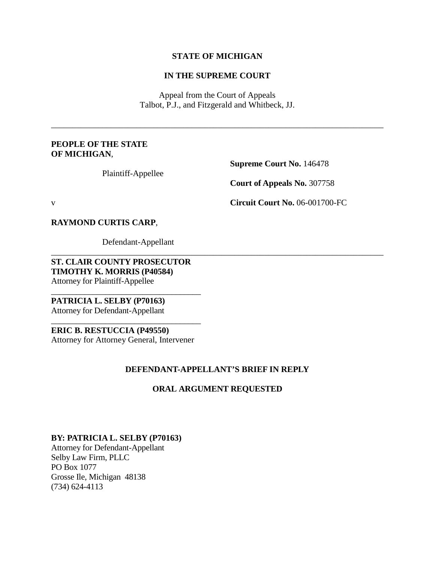## **STATE OF MICHIGAN**

## **IN THE SUPREME COURT**

Appeal from the Court of Appeals Talbot, P.J., and Fitzgerald and Whitbeck, JJ.

\_\_\_\_\_\_\_\_\_\_\_\_\_\_\_\_\_\_\_\_\_\_\_\_\_\_\_\_\_\_\_\_\_\_\_\_\_\_\_\_\_\_\_\_\_\_\_\_\_\_\_\_\_\_\_\_\_\_\_\_\_\_\_\_\_\_\_\_\_\_\_\_\_\_\_\_\_\_

## **PEOPLE OF THE STATE OF MICHIGAN**,

Plaintiff-Appellee

**Supreme Court No.** 146478

**Court of Appeals No.** 307758

v **Circuit Court No.** 06-001700-FC

## **RAYMOND CURTIS CARP**,

Defendant-Appellant

**ST. CLAIR COUNTY PROSECUTOR TIMOTHY K. MORRIS (P40584)** Attorney for Plaintiff-Appellee

\_\_\_\_\_\_\_\_\_\_\_\_\_\_\_\_\_\_\_\_\_\_\_\_\_\_\_\_\_\_\_\_\_\_\_\_

\_\_\_\_\_\_\_\_\_\_\_\_\_\_\_\_\_\_\_\_\_\_\_\_\_\_\_\_\_\_\_\_\_\_\_\_

**PATRICIA L. SELBY (P70163)** Attorney for Defendant-Appellant

# **ERIC B. RESTUCCIA (P49550)**

Attorney for Attorney General, Intervener

## **DEFENDANT-APPELLANT'S BRIEF IN REPLY**

\_\_\_\_\_\_\_\_\_\_\_\_\_\_\_\_\_\_\_\_\_\_\_\_\_\_\_\_\_\_\_\_\_\_\_\_\_\_\_\_\_\_\_\_\_\_\_\_\_\_\_\_\_\_\_\_\_\_\_\_\_\_\_\_\_\_\_\_\_\_\_\_\_\_\_\_\_\_

## **ORAL ARGUMENT REQUESTED**

## **BY: PATRICIA L. SELBY (P70163)**

Attorney for Defendant-Appellant Selby Law Firm, PLLC PO Box 1077 Grosse Ile, Michigan 48138 (734) 624-4113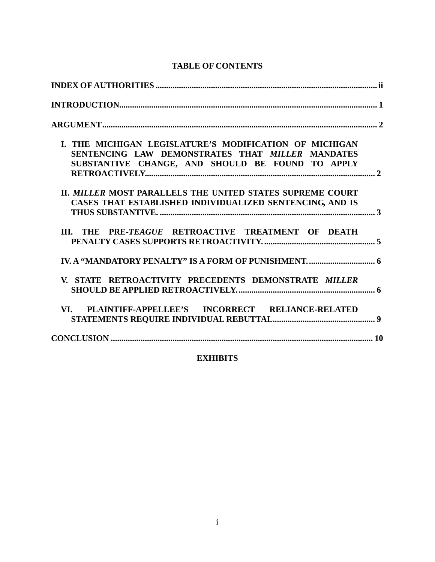| <b>TABLE OF CONTENTS</b> |  |
|--------------------------|--|
|--------------------------|--|

| I. THE MICHIGAN LEGISLATURE'S MODIFICATION OF MICHIGAN<br>SENTENCING LAW DEMONSTRATES THAT MILLER MANDATES<br>SUBSTANTIVE CHANGE, AND SHOULD BE FOUND TO APPLY |
|----------------------------------------------------------------------------------------------------------------------------------------------------------------|
| II. MILLER MOST PARALLELS THE UNITED STATES SUPREME COURT<br>CASES THAT ESTABLISHED INDIVIDUALIZED SENTENCING, AND IS                                          |
| III. THE PRE-TEAGUE RETROACTIVE TREATMENT OF DEATH                                                                                                             |
|                                                                                                                                                                |
| V. STATE RETROACTIVITY PRECEDENTS DEMONSTRATE MILLER                                                                                                           |
| VI. PLAINTIFF-APPELLEE'S INCORRECT RELIANCE-RELATED                                                                                                            |
|                                                                                                                                                                |

# **EXHIBITS**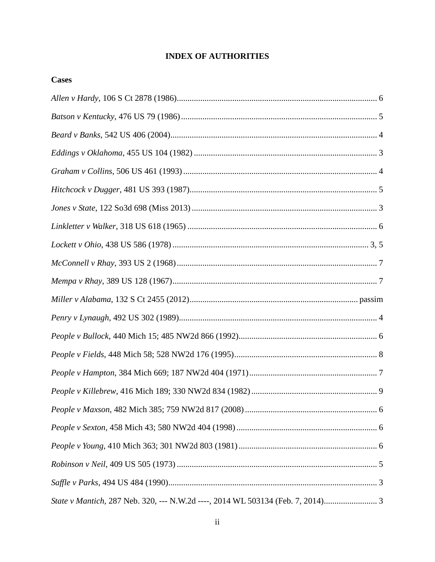# **INDEX OF AUTHORITIES**

<span id="page-2-0"></span>

| I |
|---|
|---|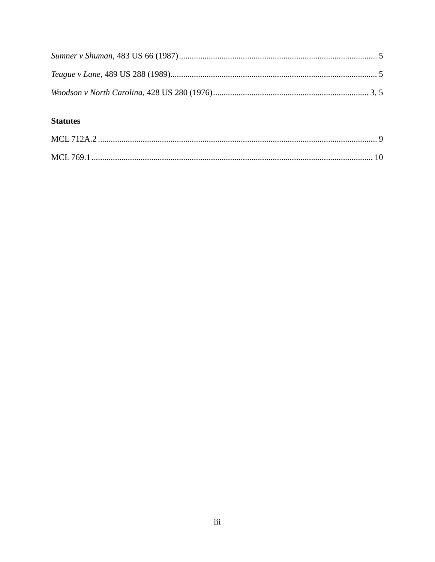# **Statutes**

| MCL 769.1 |  |
|-----------|--|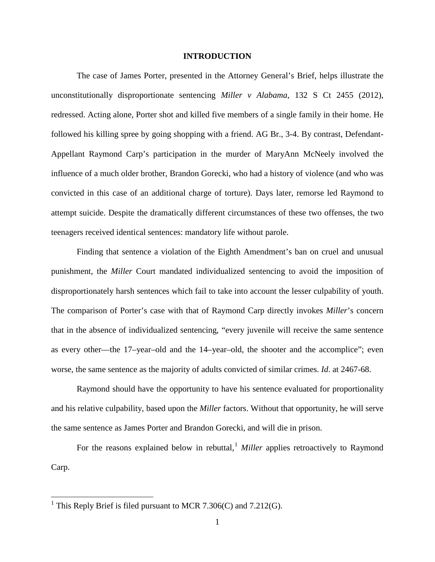#### **INTRODUCTION**

<span id="page-4-0"></span>The case of James Porter, presented in the Attorney General's Brief, helps illustrate the unconstitutionally disproportionate sentencing *Miller v Alabama*, 132 S Ct 2455 (2012), redressed. Acting alone, Porter shot and killed five members of a single family in their home. He followed his killing spree by going shopping with a friend. AG Br., 3-4. By contrast, Defendant-Appellant Raymond Carp's participation in the murder of MaryAnn McNeely involved the influence of a much older brother, Brandon Gorecki, who had a history of violence (and who was convicted in this case of an additional charge of torture). Days later, remorse led Raymond to attempt suicide. Despite the dramatically different circumstances of these two offenses, the two teenagers received identical sentences: mandatory life without parole.

Finding that sentence a violation of the Eighth Amendment's ban on cruel and unusual punishment, the *Miller* Court mandated individualized sentencing to avoid the imposition of disproportionately harsh sentences which fail to take into account the lesser culpability of youth. The comparison of Porter's case with that of Raymond Carp directly invokes *Miller*'s concern that in the absence of individualized sentencing, "every juvenile will receive the same sentence as every other—the 17–year–old and the 14–year–old, the shooter and the accomplice"; even worse, the same sentence as the majority of adults convicted of similar crimes. *Id*. at 2467-68.

Raymond should have the opportunity to have his sentence evaluated for proportionality and his relative culpability, based upon the *Miller* factors. Without that opportunity, he will serve the same sentence as James Porter and Brandon Gorecki, and will die in prison.

For the reasons explained below in rebuttal,<sup>[1](#page-4-1)</sup> *Miller* applies retroactively to Raymond Carp.

<span id="page-4-1"></span><sup>&</sup>lt;sup>1</sup> This Reply Brief is filed pursuant to MCR 7.306(C) and 7.212(G).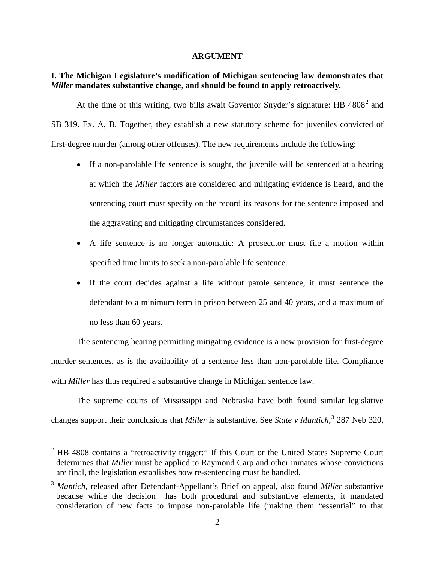### **ARGUMENT**

## <span id="page-5-1"></span><span id="page-5-0"></span>**I. The Michigan Legislature's modification of Michigan sentencing law demonstrates that**  *Miller* **mandates substantive change, and should be found to apply retroactively.**

At the time of this writing, two bills await Governor Snyder's signature: HB  $4808^2$  $4808^2$  and SB 319. Ex. A, B. Together, they establish a new statutory scheme for juveniles convicted of first-degree murder (among other offenses). The new requirements include the following:

- If a non-parolable life sentence is sought, the juvenile will be sentenced at a hearing at which the *Miller* factors are considered and mitigating evidence is heard, and the sentencing court must specify on the record its reasons for the sentence imposed and the aggravating and mitigating circumstances considered.
- A life sentence is no longer automatic: A prosecutor must file a motion within specified time limits to seek a non-parolable life sentence.
- If the court decides against a life without parole sentence, it must sentence the defendant to a minimum term in prison between 25 and 40 years, and a maximum of no less than 60 years.

The sentencing hearing permitting mitigating evidence is a new provision for first-degree murder sentences, as is the availability of a sentence less than non-parolable life. Compliance with *Miller* has thus required a substantive change in Michigan sentence law.

The supreme courts of Mississippi and Nebraska have both found similar legislative changes support their conclusions that *Miller* is substantive. See *State v Mantich*, [3](#page-5-3) 287 Neb 320,

<span id="page-5-2"></span> $2$  HB 4808 contains a "retroactivity trigger:" If this Court or the United States Supreme Court determines that *Miller* must be applied to Raymond Carp and other inmates whose convictions are final, the legislation establishes how re-sentencing must be handled.

<span id="page-5-3"></span><sup>3</sup> *Mantich*, released after Defendant-Appellant's Brief on appeal, also found *Miller* substantive because while the decision has both procedural and substantive elements, it mandated consideration of new facts to impose non-parolable life (making them "essential" to that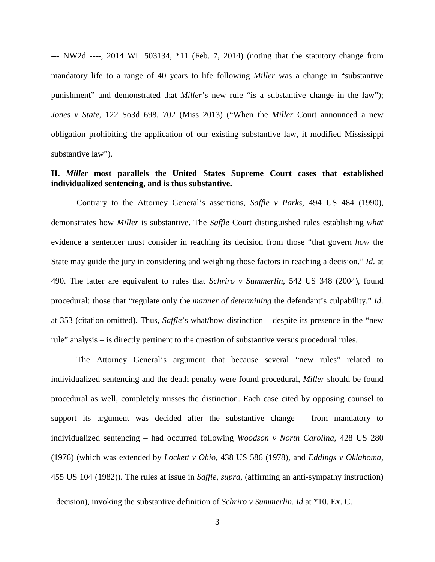--- NW2d ----, 2014 WL 503134, \*11 (Feb. 7, 2014) (noting that the statutory change from mandatory life to a range of 40 years to life following *Miller* was a change in "substantive punishment" and demonstrated that *Miller*'s new rule "is a substantive change in the law"); *Jones v State*, 122 So3d 698, 702 (Miss 2013) ("When the *Miller* Court announced a new obligation prohibiting the application of our existing substantive law, it modified Mississippi substantive law").

## <span id="page-6-0"></span>**II.** *Miller* **most parallels the United States Supreme Court cases that established individualized sentencing, and is thus substantive.**

Contrary to the Attorney General's assertions, *Saffle v Parks*, 494 US 484 (1990), demonstrates how *Miller* is substantive. The *Saffle* Court distinguished rules establishing *what* evidence a sentencer must consider in reaching its decision from those "that govern *how* the State may guide the jury in considering and weighing those factors in reaching a decision." *Id*. at 490. The latter are equivalent to rules that *Schriro v Summerlin*, 542 US 348 (2004), found procedural: those that "regulate only the *manner of determining* the defendant's culpability." *Id*. at 353 (citation omitted). Thus, *Saffle*'s what/how distinction – despite its presence in the "new rule" analysis – is directly pertinent to the question of substantive versus procedural rules.

The Attorney General's argument that because several "new rules" related to individualized sentencing and the death penalty were found procedural, *Miller* should be found procedural as well, completely misses the distinction. Each case cited by opposing counsel to support its argument was decided after the substantive change – from mandatory to individualized sentencing – had occurred following *Woodson v North Carolina*, 428 US 280 (1976) (which was extended by *Lockett v Ohio*, 438 US 586 (1978), and *Eddings v Oklahoma*, 455 US 104 (1982)). The rules at issue in *Saffle*, *supra*, (affirming an anti-sympathy instruction)

decision), invoking the substantive definition of *Schriro v Summerlin*. *Id.*at \*10. Ex. C.

 $\overline{a}$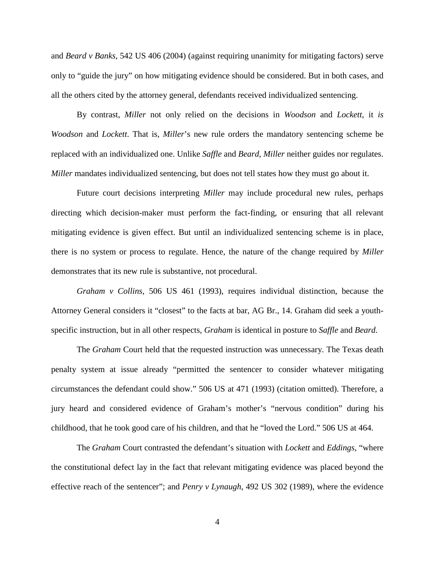and *Beard v Banks*, 542 US 406 (2004) (against requiring unanimity for mitigating factors) serve only to "guide the jury" on how mitigating evidence should be considered. But in both cases, and all the others cited by the attorney general, defendants received individualized sentencing.

By contrast, *Miller* not only relied on the decisions in *Woodson* and *Lockett*, it *is Woodson* and *Lockett*. That is, *Miller*'s new rule orders the mandatory sentencing scheme be replaced with an individualized one. Unlike *Saffle* and *Beard*, *Miller* neither guides nor regulates. *Miller* mandates individualized sentencing, but does not tell states how they must go about it.

Future court decisions interpreting *Miller* may include procedural new rules, perhaps directing which decision-maker must perform the fact-finding, or ensuring that all relevant mitigating evidence is given effect. But until an individualized sentencing scheme is in place, there is no system or process to regulate. Hence, the nature of the change required by *Miller* demonstrates that its new rule is substantive, not procedural.

*Graham v Collins*, 506 US 461 (1993), requires individual distinction, because the Attorney General considers it "closest" to the facts at bar, AG Br., 14. Graham did seek a youthspecific instruction, but in all other respects, *Graham* is identical in posture to *Saffle* and *Beard.*

The *Graham* Court held that the requested instruction was unnecessary. The Texas death penalty system at issue already "permitted the sentencer to consider whatever mitigating circumstances the defendant could show." 506 US at 471 (1993) (citation omitted). Therefore, a jury heard and considered evidence of Graham's mother's "nervous condition" during his childhood, that he took good care of his children, and that he "loved the Lord." 506 US at 464.

The *Graham* Court contrasted the defendant's situation with *Lockett* and *Eddings*, "where the constitutional defect lay in the fact that relevant mitigating evidence was placed beyond the effective reach of the sentencer"; and *Penry v Lynaugh*, 492 US 302 (1989), where the evidence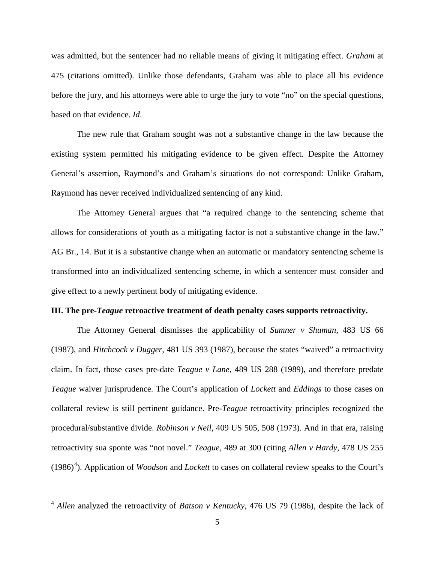was admitted, but the sentencer had no reliable means of giving it mitigating effect. *Graham* at 475 (citations omitted). Unlike those defendants, Graham was able to place all his evidence before the jury, and his attorneys were able to urge the jury to vote "no" on the special questions, based on that evidence. *Id*.

The new rule that Graham sought was not a substantive change in the law because the existing system permitted his mitigating evidence to be given effect. Despite the Attorney General's assertion, Raymond's and Graham's situations do not correspond: Unlike Graham, Raymond has never received individualized sentencing of any kind.

The Attorney General argues that "a required change to the sentencing scheme that allows for considerations of youth as a mitigating factor is not a substantive change in the law." AG Br., 14. But it is a substantive change when an automatic or mandatory sentencing scheme is transformed into an individualized sentencing scheme, in which a sentencer must consider and give effect to a newly pertinent body of mitigating evidence.

## <span id="page-8-0"></span>**III. The pre-***Teague* **retroactive treatment of death penalty cases supports retroactivity.**

The Attorney General dismisses the applicability of *Sumner v Shuman*, 483 US 66 (1987), and *Hitchcock v Dugger*, 481 US 393 (1987), because the states "waived" a retroactivity claim. In fact, those cases pre-date *Teague v Lane*, 489 US 288 (1989), and therefore predate *Teague* waiver jurisprudence. The Court's application of *Lockett* and *Eddings* to those cases on collateral review is still pertinent guidance. Pre-*Teague* retroactivity principles recognized the procedural/substantive divide. *Robinson v Neil*, 409 US 505, 508 (1973). And in that era, raising retroactivity sua sponte was "not novel." *Teague*, 489 at 300 (citing *Allen v Hardy*, 478 US 255  $(1986)^4$  $(1986)^4$ ). Application of *Woodson* and *Lockett* to cases on collateral review speaks to the Court's

<span id="page-8-1"></span> <sup>4</sup> *Allen* analyzed the retroactivity of *Batson v Kentucky*, 476 US <sup>79</sup> (1986), despite the lack of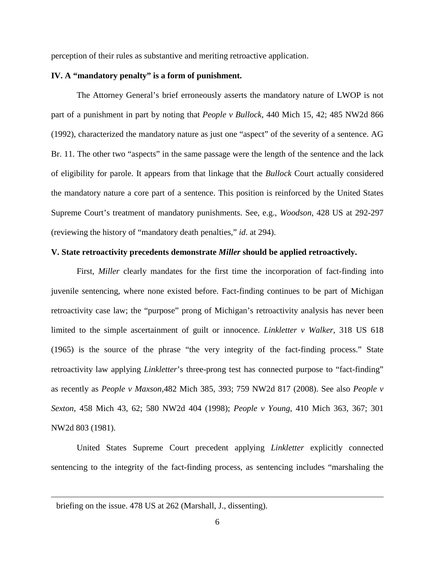perception of their rules as substantive and meriting retroactive application.

## <span id="page-9-0"></span>**IV. A "mandatory penalty" is a form of punishment.**

The Attorney General's brief erroneously asserts the mandatory nature of LWOP is not part of a punishment in part by noting that *People v Bullock*, 440 Mich 15, 42; 485 NW2d 866 (1992), characterized the mandatory nature as just one "aspect" of the severity of a sentence. AG Br. 11. The other two "aspects" in the same passage were the length of the sentence and the lack of eligibility for parole. It appears from that linkage that the *Bullock* Court actually considered the mandatory nature a core part of a sentence. This position is reinforced by the United States Supreme Court's treatment of mandatory punishments. See, e.g., *Woodson*, 428 US at 292-297 (reviewing the history of "mandatory death penalties," *id*. at 294).

### <span id="page-9-1"></span>**V. State retroactivity precedents demonstrate** *Miller* **should be applied retroactively.**

First, *Miller* clearly mandates for the first time the incorporation of fact-finding into juvenile sentencing, where none existed before. Fact-finding continues to be part of Michigan retroactivity case law; the "purpose" prong of Michigan's retroactivity analysis has never been limited to the simple ascertainment of guilt or innocence. *Linkletter v Walker*, 318 US 618 (1965) is the source of the phrase "the very integrity of the fact-finding process." State retroactivity law applying *Linkletter*'s three-prong test has connected purpose to "fact-finding" as recently as *People v Maxson*,482 Mich 385, 393; 759 NW2d 817 (2008). See also *People v Sexton*, 458 Mich 43, 62; 580 NW2d 404 (1998); *People v Young*, 410 Mich 363, 367; 301 NW2d 803 (1981).

United States Supreme Court precedent applying *Linkletter* explicitly connected sentencing to the integrity of the fact-finding process, as sentencing includes "marshaling the

 $\overline{a}$ 

briefing on the issue. 478 US at 262 (Marshall, J., dissenting).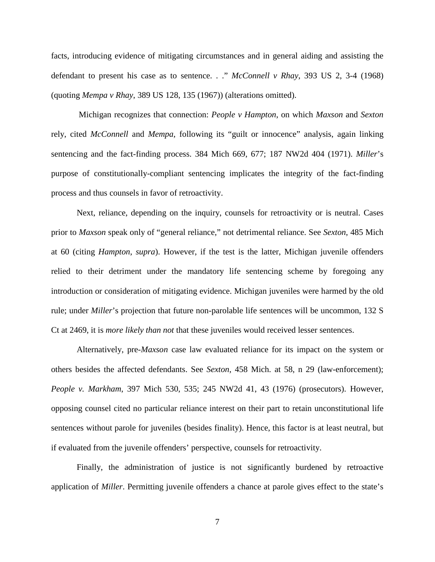facts, introducing evidence of mitigating circumstances and in general aiding and assisting the defendant to present his case as to sentence. . ." *McConnell v Rhay*, 393 US 2, 3-4 (1968) (quoting *Mempa v Rhay*, 389 US 128, 135 (1967)) (alterations omitted).

Michigan recognizes that connection: *People v Hampton*, on which *Maxson* and *Sexton* rely, cited *McConnell* and *Mempa*, following its "guilt or innocence" analysis, again linking sentencing and the fact-finding process. 384 Mich 669, 677; 187 NW2d 404 (1971). *Miller*'s purpose of constitutionally-compliant sentencing implicates the integrity of the fact-finding process and thus counsels in favor of retroactivity.

Next, reliance, depending on the inquiry, counsels for retroactivity or is neutral. Cases prior to *Maxson* speak only of "general reliance," not detrimental reliance. See *Sexton*, 485 Mich at 60 (citing *Hampton*, *supra*). However, if the test is the latter, Michigan juvenile offenders relied to their detriment under the mandatory life sentencing scheme by foregoing any introduction or consideration of mitigating evidence. Michigan juveniles were harmed by the old rule; under *Miller*'s projection that future non-parolable life sentences will be uncommon, 132 S Ct at 2469, it is *more likely than not* that these juveniles would received lesser sentences.

Alternatively, pre-*Maxson* case law evaluated reliance for its impact on the system or others besides the affected defendants. See *Sexton*, 458 Mich. at 58, n 29 (law-enforcement); *People v. Markham*, 397 Mich 530, 535; 245 NW2d 41, 43 (1976) (prosecutors). However, opposing counsel cited no particular reliance interest on their part to retain unconstitutional life sentences without parole for juveniles (besides finality). Hence, this factor is at least neutral, but if evaluated from the juvenile offenders' perspective, counsels for retroactivity.

Finally, the administration of justice is not significantly burdened by retroactive application of *Miller*. Permitting juvenile offenders a chance at parole gives effect to the state's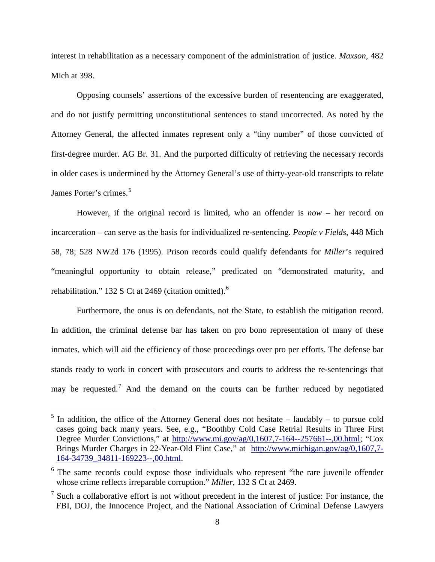interest in rehabilitation as a necessary component of the administration of justice. *Maxson,* 482 Mich at 398.

Opposing counsels' assertions of the excessive burden of resentencing are exaggerated, and do not justify permitting unconstitutional sentences to stand uncorrected. As noted by the Attorney General, the affected inmates represent only a "tiny number" of those convicted of first-degree murder. AG Br. 31. And the purported difficulty of retrieving the necessary records in older cases is undermined by the Attorney General's use of thirty-year-old transcripts to relate James Porter's crimes.<sup>[5](#page-11-0)</sup>

However, if the original record is limited, who an offender is *now* – her record on incarceration – can serve as the basis for individualized re-sentencing. *People v Fields*, 448 Mich 58, 78; 528 NW2d 176 (1995). Prison records could qualify defendants for *Miller*'s required "meaningful opportunity to obtain release," predicated on "demonstrated maturity, and rehabilitation." 132 S Ct at 24[6](#page-11-1)9 (citation omitted).<sup>6</sup>

Furthermore, the onus is on defendants, not the State, to establish the mitigation record. In addition, the criminal defense bar has taken on pro bono representation of many of these inmates, which will aid the efficiency of those proceedings over pro per efforts. The defense bar stands ready to work in concert with prosecutors and courts to address the re-sentencings that may be requested.<sup>[7](#page-11-2)</sup> And the demand on the courts can be further reduced by negotiated

<span id="page-11-0"></span> <sup>5</sup> In addition, the office of the Attorney General does not hesitate – laudably – to pursue cold cases going back many years. See, e.g., "Boothby Cold Case Retrial Results in Three First Degree Murder Convictions," at [http://www.mi.gov/ag/0,1607,7-164--257661--,00.html;](http://www.mi.gov/ag/0,1607,7-164--257661--,00.html) "Cox Brings Murder Charges in 22-Year-Old Flint Case," at [http://www.michigan.gov/ag/0,1607,7-](http://www.michigan.gov/ag/0,1607,7-164-34739_34811-169223--,00.html) [164-34739\\_34811-169223--,00.html.](http://www.michigan.gov/ag/0,1607,7-164-34739_34811-169223--,00.html)

<span id="page-11-1"></span><sup>&</sup>lt;sup>6</sup> The same records could expose those individuals who represent "the rare juvenile offender whose crime reflects irreparable corruption." *Miller*, 132 S Ct at 2469.

<span id="page-11-2"></span> $<sup>7</sup>$  Such a collaborative effort is not without precedent in the interest of justice: For instance, the</sup> FBI, DOJ, the Innocence Project, and the National Association of Criminal Defense Lawyers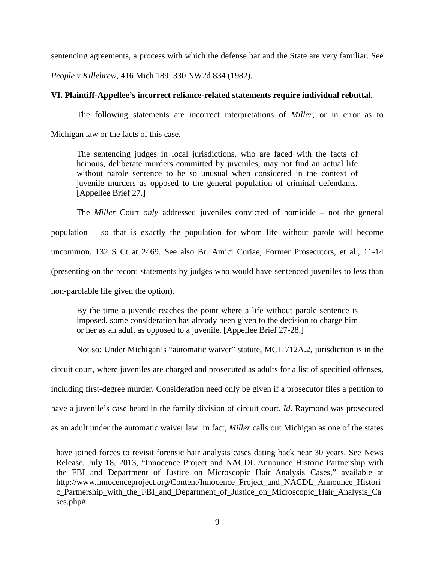sentencing agreements, a process with which the defense bar and the State are very familiar. See

*People v Killebrew*, 416 Mich 189; 330 NW2d 834 (1982).

## <span id="page-12-0"></span>**VI. Plaintiff-Appellee's incorrect reliance-related statements require individual rebuttal.**

The following statements are incorrect interpretations of *Miller*, or in error as to

Michigan law or the facts of this case.

 $\overline{a}$ 

The sentencing judges in local jurisdictions, who are faced with the facts of heinous, deliberate murders committed by juveniles, may not find an actual life without parole sentence to be so unusual when considered in the context of juvenile murders as opposed to the general population of criminal defendants. [Appellee Brief 27.]

The *Miller* Court *only* addressed juveniles convicted of homicide – not the general population – so that is exactly the population for whom life without parole will become uncommon. 132 S Ct at 2469. See also Br. Amici Curiae, Former Prosecutors, et al., 11-14 (presenting on the record statements by judges who would have sentenced juveniles to less than non-parolable life given the option).

By the time a juvenile reaches the point where a life without parole sentence is imposed, some consideration has already been given to the decision to charge him or her as an adult as opposed to a juvenile. [Appellee Brief 27-28.]

Not so: Under Michigan's "automatic waiver" statute, MCL 712A.2, jurisdiction is in the circuit court, where juveniles are charged and prosecuted as adults for a list of specified offenses, including first-degree murder. Consideration need only be given if a prosecutor files a petition to have a juvenile's case heard in the family division of circuit court. *Id*. Raymond was prosecuted as an adult under the automatic waiver law. In fact, *Miller* calls out Michigan as one of the states

have joined forces to revisit forensic hair analysis cases dating back near 30 years. See News Release, July 18, 2013, "Innocence Project and NACDL Announce Historic Partnership with the FBI and Department of Justice on Microscopic Hair Analysis Cases," available at http://www.innocenceproject.org/Content/Innocence\_Project\_and\_NACDL\_Announce\_Histori c\_Partnership\_with\_the\_FBI\_and\_Department\_of\_Justice\_on\_Microscopic\_Hair\_Analysis\_Ca ses.php#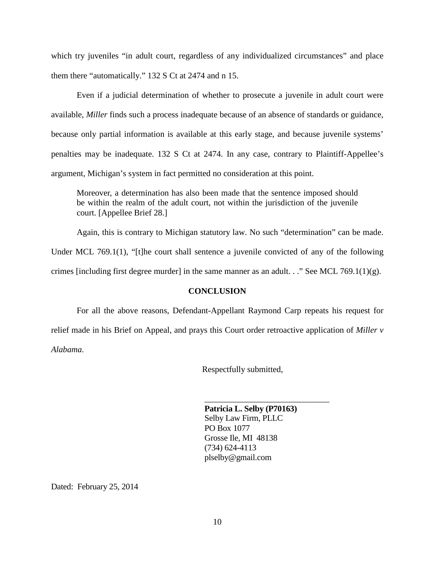which try juveniles "in adult court, regardless of any individualized circumstances" and place them there "automatically." 132 S Ct at 2474 and n 15.

Even if a judicial determination of whether to prosecute a juvenile in adult court were available, *Miller* finds such a process inadequate because of an absence of standards or guidance, because only partial information is available at this early stage, and because juvenile systems' penalties may be inadequate. 132 S Ct at 2474. In any case, contrary to Plaintiff-Appellee's argument, Michigan's system in fact permitted no consideration at this point.

Moreover, a determination has also been made that the sentence imposed should be within the realm of the adult court, not within the jurisdiction of the juvenile court. [Appellee Brief 28.]

Again, this is contrary to Michigan statutory law. No such "determination" can be made. Under MCL 769.1(1), "[t]he court shall sentence a juvenile convicted of any of the following crimes [including first degree murder] in the same manner as an adult. . ." See MCL 769.1(1)(g).

## **CONCLUSION**

<span id="page-13-0"></span>For all the above reasons, Defendant-Appellant Raymond Carp repeats his request for relief made in his Brief on Appeal, and prays this Court order retroactive application of *Miller v Alabama*.

Respectfully submitted,

 $\frac{1}{2}$  ,  $\frac{1}{2}$  ,  $\frac{1}{2}$  ,  $\frac{1}{2}$  ,  $\frac{1}{2}$  ,  $\frac{1}{2}$  ,  $\frac{1}{2}$  ,  $\frac{1}{2}$  ,  $\frac{1}{2}$  ,  $\frac{1}{2}$  ,  $\frac{1}{2}$  ,  $\frac{1}{2}$  ,  $\frac{1}{2}$  ,  $\frac{1}{2}$  ,  $\frac{1}{2}$  ,  $\frac{1}{2}$  ,  $\frac{1}{2}$  ,  $\frac{1}{2}$  ,  $\frac{1$ **Patricia L. Selby (P70163)** Selby Law Firm, PLLC PO Box 1077 Grosse Ile, MI 48138 (734) 624-4113 plselby@gmail.com

Dated: February 25, 2014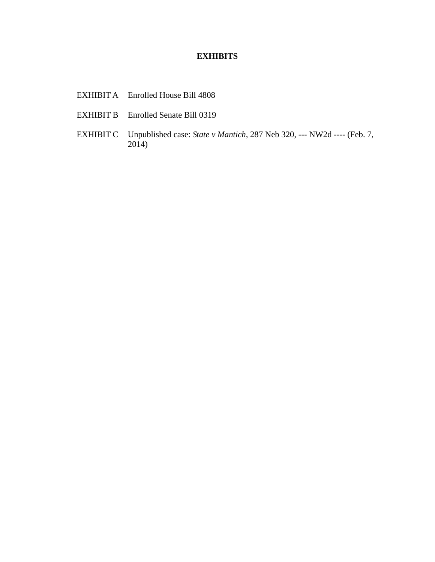## **EXHIBITS**

- EXHIBIT A Enrolled House Bill 4808
- EXHIBIT B Enrolled Senate Bill 0319
- EXHIBIT C Unpublished case: *State v Mantich*, 287 Neb 320, --- NW2d ---- (Feb. 7, 2014)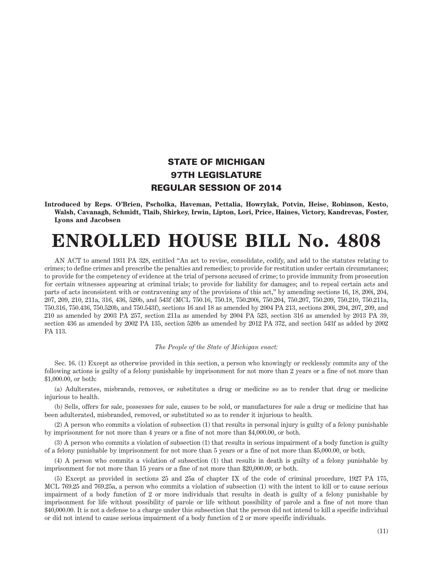# STATE OF MICHIGAN 97TH LEGISLATURE REGULAR SESSION OF 2014

**Introduced by Reps. O'Brien, Pscholka, Haveman, Pettalia, Howrylak, Potvin, Heise, Robinson, Kesto, Walsh, Cavanagh, Schmidt, Tlaib, Shirkey, Irwin, Lipton, Lori, Price, Haines, Victory, Kandrevas, Foster, Lyons and Jacobsen**

# **ENROLLED HOUSE BILL No. 4808**

AN ACT to amend 1931 PA 328, entitled "An act to revise, consolidate, codify, and add to the statutes relating to crimes; to define crimes and prescribe the penalties and remedies; to provide for restitution under certain circumstances; to provide for the competency of evidence at the trial of persons accused of crime; to provide immunity from prosecution for certain witnesses appearing at criminal trials; to provide for liability for damages; and to repeal certain acts and parts of acts inconsistent with or contravening any of the provisions of this act," by amending sections 16, 18, 200i, 204, 207, 209, 210, 211a, 316, 436, 520b, and 543f (MCL 750.16, 750.18, 750.200i, 750.204, 750.207, 750.209, 750.210, 750.211a, 750.316, 750.436, 750.520b, and 750.543f), sections 16 and 18 as amended by 2004 PA 213, sections 200i, 204, 207, 209, and 210 as amended by 2003 PA 257, section 211a as amended by 2004 PA 523, section 316 as amended by 2013 PA 39, section 436 as amended by 2002 PA 135, section 520b as amended by 2012 PA 372, and section 543f as added by 2002 PA 113.

#### *The People of the State of Michigan enact:*

Sec. 16. (1) Except as otherwise provided in this section, a person who knowingly or recklessly commits any of the following actions is guilty of a felony punishable by imprisonment for not more than 2 years or a fine of not more than \$1,000.00, or both:

(a) Adulterates, misbrands, removes, or substitutes a drug or medicine so as to render that drug or medicine injurious to health.

(b) Sells, offers for sale, possesses for sale, causes to be sold, or manufactures for sale a drug or medicine that has been adulterated, misbranded, removed, or substituted so as to render it injurious to health.

(2) A person who commits a violation of subsection (1) that results in personal injury is guilty of a felony punishable by imprisonment for not more than 4 years or a fine of not more than \$4,000.00, or both.

(3) A person who commits a violation of subsection (1) that results in serious impairment of a body function is guilty of a felony punishable by imprisonment for not more than 5 years or a fine of not more than \$5,000.00, or both.

(4) A person who commits a violation of subsection (1) that results in death is guilty of a felony punishable by imprisonment for not more than 15 years or a fine of not more than \$20,000.00, or both.

(5) Except as provided in sections 25 and 25a of chapter IX of the code of criminal procedure, 1927 PA 175, MCL 769.25 and 769.25a, a person who commits a violation of subsection (1) with the intent to kill or to cause serious impairment of a body function of 2 or more individuals that results in death is guilty of a felony punishable by imprisonment for life without possibility of parole or life without possibility of parole and a fine of not more than \$40,000.00. It is not a defense to a charge under this subsection that the person did not intend to kill a specific individual or did not intend to cause serious impairment of a body function of 2 or more specific individuals.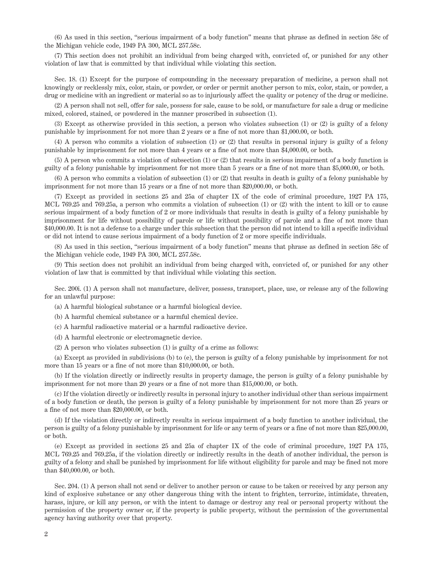(6) As used in this section, "serious impairment of a body function" means that phrase as defined in section 58c of the Michigan vehicle code, 1949 PA 300, MCL 257.58c.

(7) This section does not prohibit an individual from being charged with, convicted of, or punished for any other violation of law that is committed by that individual while violating this section.

Sec. 18. (1) Except for the purpose of compounding in the necessary preparation of medicine, a person shall not knowingly or recklessly mix, color, stain, or powder, or order or permit another person to mix, color, stain, or powder, a drug or medicine with an ingredient or material so as to injuriously affect the quality or potency of the drug or medicine.

(2) A person shall not sell, offer for sale, possess for sale, cause to be sold, or manufacture for sale a drug or medicine mixed, colored, stained, or powdered in the manner proscribed in subsection (1).

(3) Except as otherwise provided in this section, a person who violates subsection (1) or (2) is guilty of a felony punishable by imprisonment for not more than 2 years or a fine of not more than \$1,000.00, or both.

(4) A person who commits a violation of subsection (1) or (2) that results in personal injury is guilty of a felony punishable by imprisonment for not more than 4 years or a fine of not more than \$4,000.00, or both.

(5) A person who commits a violation of subsection (1) or (2) that results in serious impairment of a body function is guilty of a felony punishable by imprisonment for not more than 5 years or a fine of not more than \$5,000.00, or both.

(6) A person who commits a violation of subsection (1) or (2) that results in death is guilty of a felony punishable by imprisonment for not more than 15 years or a fine of not more than \$20,000.00, or both.

(7) Except as provided in sections 25 and 25a of chapter IX of the code of criminal procedure, 1927 PA 175, MCL 769.25 and 769.25a, a person who commits a violation of subsection (1) or (2) with the intent to kill or to cause serious impairment of a body function of 2 or more individuals that results in death is guilty of a felony punishable by imprisonment for life without possibility of parole or life without possibility of parole and a fine of not more than \$40,000.00. It is not a defense to a charge under this subsection that the person did not intend to kill a specific individual or did not intend to cause serious impairment of a body function of 2 or more specific individuals.

(8) As used in this section, "serious impairment of a body function" means that phrase as defined in section 58c of the Michigan vehicle code, 1949 PA 300, MCL 257.58c.

(9) This section does not prohibit an individual from being charged with, convicted of, or punished for any other violation of law that is committed by that individual while violating this section.

Sec. 200i. (1) A person shall not manufacture, deliver, possess, transport, place, use, or release any of the following for an unlawful purpose:

(a) A harmful biological substance or a harmful biological device.

(b) A harmful chemical substance or a harmful chemical device.

(c) A harmful radioactive material or a harmful radioactive device.

(d) A harmful electronic or electromagnetic device.

(2) A person who violates subsection (1) is guilty of a crime as follows:

(a) Except as provided in subdivisions (b) to (e), the person is guilty of a felony punishable by imprisonment for not more than 15 years or a fine of not more than \$10,000.00, or both.

(b) If the violation directly or indirectly results in property damage, the person is guilty of a felony punishable by imprisonment for not more than 20 years or a fine of not more than \$15,000.00, or both.

(c) If the violation directly or indirectly results in personal injury to another individual other than serious impairment of a body function or death, the person is guilty of a felony punishable by imprisonment for not more than 25 years or a fine of not more than \$20,000.00, or both.

(d) If the violation directly or indirectly results in serious impairment of a body function to another individual, the person is guilty of a felony punishable by imprisonment for life or any term of years or a fine of not more than \$25,000.00, or both.

(e) Except as provided in sections 25 and 25a of chapter IX of the code of criminal procedure, 1927 PA 175, MCL 769.25 and 769.25a, if the violation directly or indirectly results in the death of another individual, the person is guilty of a felony and shall be punished by imprisonment for life without eligibility for parole and may be fined not more than \$40,000.00, or both.

Sec. 204. (1) A person shall not send or deliver to another person or cause to be taken or received by any person any kind of explosive substance or any other dangerous thing with the intent to frighten, terrorize, intimidate, threaten, harass, injure, or kill any person, or with the intent to damage or destroy any real or personal property without the permission of the property owner or, if the property is public property, without the permission of the governmental agency having authority over that property.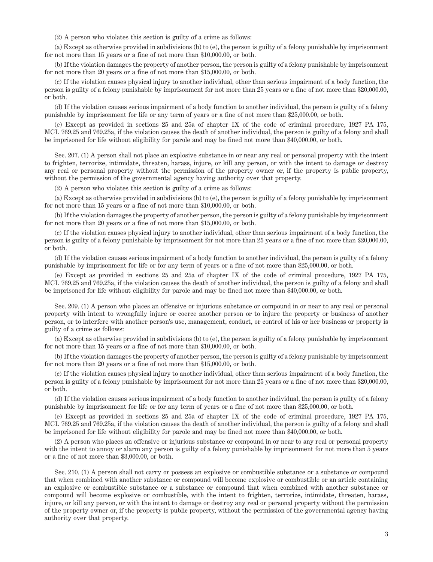(2) A person who violates this section is guilty of a crime as follows:

(a) Except as otherwise provided in subdivisions (b) to (e), the person is guilty of a felony punishable by imprisonment for not more than 15 years or a fine of not more than \$10,000.00, or both.

(b) If the violation damages the property of another person, the person is guilty of a felony punishable by imprisonment for not more than 20 years or a fine of not more than \$15,000.00, or both.

(c) If the violation causes physical injury to another individual, other than serious impairment of a body function, the person is guilty of a felony punishable by imprisonment for not more than 25 years or a fine of not more than \$20,000.00, or both.

(d) If the violation causes serious impairment of a body function to another individual, the person is guilty of a felony punishable by imprisonment for life or any term of years or a fine of not more than \$25,000.00, or both.

(e) Except as provided in sections 25 and 25a of chapter IX of the code of criminal procedure, 1927 PA 175, MCL 769.25 and 769.25a, if the violation causes the death of another individual, the person is guilty of a felony and shall be imprisoned for life without eligibility for parole and may be fined not more than \$40,000.00, or both.

Sec. 207. (1) A person shall not place an explosive substance in or near any real or personal property with the intent to frighten, terrorize, intimidate, threaten, harass, injure, or kill any person, or with the intent to damage or destroy any real or personal property without the permission of the property owner or, if the property is public property, without the permission of the governmental agency having authority over that property.

(2) A person who violates this section is guilty of a crime as follows:

(a) Except as otherwise provided in subdivisions (b) to (e), the person is guilty of a felony punishable by imprisonment for not more than 15 years or a fine of not more than \$10,000.00, or both.

(b) If the violation damages the property of another person, the person is guilty of a felony punishable by imprisonment for not more than 20 years or a fine of not more than \$15,000.00, or both.

(c) If the violation causes physical injury to another individual, other than serious impairment of a body function, the person is guilty of a felony punishable by imprisonment for not more than 25 years or a fine of not more than \$20,000.00, or both.

(d) If the violation causes serious impairment of a body function to another individual, the person is guilty of a felony punishable by imprisonment for life or for any term of years or a fine of not more than \$25,000.00, or both.

(e) Except as provided in sections 25 and 25a of chapter IX of the code of criminal procedure, 1927 PA 175, MCL 769.25 and 769.25a, if the violation causes the death of another individual, the person is guilty of a felony and shall be imprisoned for life without eligibility for parole and may be fined not more than \$40,000.00, or both.

Sec. 209. (1) A person who places an offensive or injurious substance or compound in or near to any real or personal property with intent to wrongfully injure or coerce another person or to injure the property or business of another person, or to interfere with another person's use, management, conduct, or control of his or her business or property is guilty of a crime as follows:

(a) Except as otherwise provided in subdivisions (b) to (e), the person is guilty of a felony punishable by imprisonment for not more than 15 years or a fine of not more than \$10,000.00, or both.

(b) If the violation damages the property of another person, the person is guilty of a felony punishable by imprisonment for not more than 20 years or a fine of not more than \$15,000.00, or both.

(c) If the violation causes physical injury to another individual, other than serious impairment of a body function, the person is guilty of a felony punishable by imprisonment for not more than 25 years or a fine of not more than \$20,000.00, or both.

(d) If the violation causes serious impairment of a body function to another individual, the person is guilty of a felony punishable by imprisonment for life or for any term of years or a fine of not more than \$25,000.00, or both.

(e) Except as provided in sections 25 and 25a of chapter IX of the code of criminal procedure, 1927 PA 175, MCL 769.25 and 769.25a, if the violation causes the death of another individual, the person is guilty of a felony and shall be imprisoned for life without eligibility for parole and may be fined not more than \$40,000.00, or both.

(2) A person who places an offensive or injurious substance or compound in or near to any real or personal property with the intent to annoy or alarm any person is guilty of a felony punishable by imprisonment for not more than 5 years or a fine of not more than \$3,000.00, or both.

Sec. 210. (1) A person shall not carry or possess an explosive or combustible substance or a substance or compound that when combined with another substance or compound will become explosive or combustible or an article containing an explosive or combustible substance or a substance or compound that when combined with another substance or compound will become explosive or combustible, with the intent to frighten, terrorize, intimidate, threaten, harass, injure, or kill any person, or with the intent to damage or destroy any real or personal property without the permission of the property owner or, if the property is public property, without the permission of the governmental agency having authority over that property.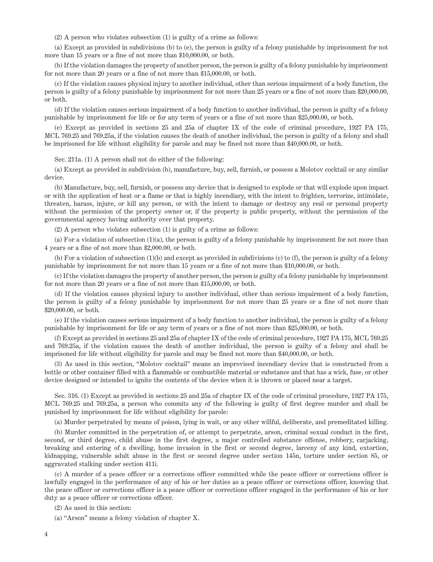(2) A person who violates subsection (1) is guilty of a crime as follows:

(a) Except as provided in subdivisions (b) to (e), the person is guilty of a felony punishable by imprisonment for not more than 15 years or a fine of not more than \$10,000.00, or both.

(b) If the violation damages the property of another person, the person is guilty of a felony punishable by imprisonment for not more than 20 years or a fine of not more than \$15,000.00, or both.

(c) If the violation causes physical injury to another individual, other than serious impairment of a body function, the person is guilty of a felony punishable by imprisonment for not more than 25 years or a fine of not more than \$20,000.00, or both.

(d) If the violation causes serious impairment of a body function to another individual, the person is guilty of a felony punishable by imprisonment for life or for any term of years or a fine of not more than \$25,000.00, or both.

(e) Except as provided in sections 25 and 25a of chapter IX of the code of criminal procedure, 1927 PA 175, MCL 769.25 and 769.25a, if the violation causes the death of another individual, the person is guilty of a felony and shall be imprisoned for life without eligibility for parole and may be fined not more than \$40,000.00, or both.

Sec. 211a. (1) A person shall not do either of the following:

(a) Except as provided in subdivision (b), manufacture, buy, sell, furnish, or possess a Molotov cocktail or any similar device.

(b) Manufacture, buy, sell, furnish, or possess any device that is designed to explode or that will explode upon impact or with the application of heat or a flame or that is highly incendiary, with the intent to frighten, terrorize, intimidate, threaten, harass, injure, or kill any person, or with the intent to damage or destroy any real or personal property without the permission of the property owner or, if the property is public property, without the permission of the governmental agency having authority over that property.

(2) A person who violates subsection (1) is guilty of a crime as follows:

(a) For a violation of subsection (1)(a), the person is guilty of a felony punishable by imprisonment for not more than 4 years or a fine of not more than \$2,000.00, or both.

(b) For a violation of subsection (1)(b) and except as provided in subdivisions (c) to (f), the person is guilty of a felony punishable by imprisonment for not more than 15 years or a fine of not more than \$10,000.00, or both.

(c) If the violation damages the property of another person, the person is guilty of a felony punishable by imprisonment for not more than 20 years or a fine of not more than \$15,000.00, or both.

(d) If the violation causes physical injury to another individual, other than serious impairment of a body function, the person is guilty of a felony punishable by imprisonment for not more than 25 years or a fine of not more than \$20,000.00, or both.

(e) If the violation causes serious impairment of a body function to another individual, the person is guilty of a felony punishable by imprisonment for life or any term of years or a fine of not more than \$25,000.00, or both.

(f) Except as provided in sections 25 and 25a of chapter IX of the code of criminal procedure, 1927 PA 175, MCL 769.25 and 769.25a, if the violation causes the death of another individual, the person is guilty of a felony and shall be imprisoned for life without eligibility for parole and may be fined not more than \$40,000.00, or both.

(3) As used in this section, "Molotov cocktail" means an improvised incendiary device that is constructed from a bottle or other container filled with a flammable or combustible material or substance and that has a wick, fuse, or other device designed or intended to ignite the contents of the device when it is thrown or placed near a target.

Sec. 316. (1) Except as provided in sections 25 and 25a of chapter IX of the code of criminal procedure, 1927 PA 175, MCL 769.25 and 769.25a, a person who commits any of the following is guilty of first degree murder and shall be punished by imprisonment for life without eligibility for parole:

(a) Murder perpetrated by means of poison, lying in wait, or any other willful, deliberate, and premeditated killing.

(b) Murder committed in the perpetration of, or attempt to perpetrate, arson, criminal sexual conduct in the first, second, or third degree, child abuse in the first degree, a major controlled substance offense, robbery, carjacking, breaking and entering of a dwelling, home invasion in the first or second degree, larceny of any kind, extortion, kidnapping, vulnerable adult abuse in the first or second degree under section 145n, torture under section 85, or aggravated stalking under section 411i.

(c) A murder of a peace officer or a corrections officer committed while the peace officer or corrections officer is lawfully engaged in the performance of any of his or her duties as a peace officer or corrections officer, knowing that the peace officer or corrections officer is a peace officer or corrections officer engaged in the performance of his or her duty as a peace officer or corrections officer.

- (2) As used in this section:
- (a) "Arson" means a felony violation of chapter X.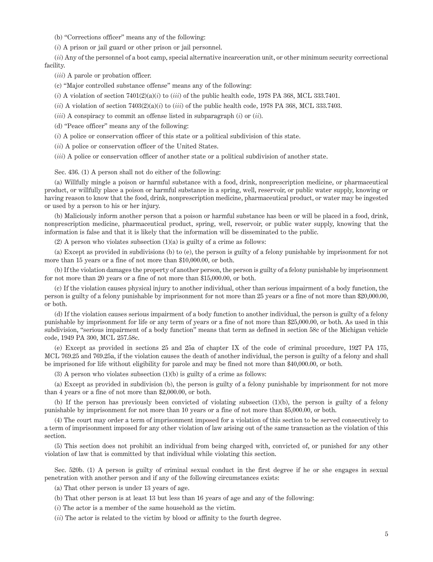(b) "Corrections officer" means any of the following:

(*i*) A prison or jail guard or other prison or jail personnel.

(*ii*) Any of the personnel of a boot camp, special alternative incarceration unit, or other minimum security correctional facility.

(*iii*) A parole or probation officer.

(c) "Major controlled substance offense" means any of the following:

 $(i)$  A violation of section  $7401(2)(a)(i)$  to  $(iii)$  of the public health code, 1978 PA 368, MCL 333.7401.

 $(iii)$  A violation of section  $7403(2)(a)(i)$  to  $(iii)$  of the public health code, 1978 PA 368, MCL 333.7403.

(*iii*) A conspiracy to commit an offense listed in subparagraph (*i*) or (*ii*).

(d) "Peace officer" means any of the following:

(*i*) A police or conservation officer of this state or a political subdivision of this state.

(*ii*) A police or conservation officer of the United States.

(*iii*) A police or conservation officer of another state or a political subdivision of another state.

Sec. 436. (1) A person shall not do either of the following:

(a) Willfully mingle a poison or harmful substance with a food, drink, nonprescription medicine, or pharmaceutical product, or willfully place a poison or harmful substance in a spring, well, reservoir, or public water supply, knowing or having reason to know that the food, drink, nonprescription medicine, pharmaceutical product, or water may be ingested or used by a person to his or her injury.

(b) Maliciously inform another person that a poison or harmful substance has been or will be placed in a food, drink, nonprescription medicine, pharmaceutical product, spring, well, reservoir, or public water supply, knowing that the information is false and that it is likely that the information will be disseminated to the public.

 $(2)$  A person who violates subsection  $(1)(a)$  is guilty of a crime as follows:

(a) Except as provided in subdivisions (b) to (e), the person is guilty of a felony punishable by imprisonment for not more than 15 years or a fine of not more than \$10,000.00, or both.

(b) If the violation damages the property of another person, the person is guilty of a felony punishable by imprisonment for not more than 20 years or a fine of not more than \$15,000.00, or both.

(c) If the violation causes physical injury to another individual, other than serious impairment of a body function, the person is guilty of a felony punishable by imprisonment for not more than 25 years or a fine of not more than \$20,000.00, or both.

(d) If the violation causes serious impairment of a body function to another individual, the person is guilty of a felony punishable by imprisonment for life or any term of years or a fine of not more than \$25,000.00, or both. As used in this subdivision, "serious impairment of a body function" means that term as defined in section 58c of the Michigan vehicle code, 1949 PA 300, MCL 257.58c.

(e) Except as provided in sections 25 and 25a of chapter IX of the code of criminal procedure, 1927 PA 175, MCL 769.25 and 769.25a, if the violation causes the death of another individual, the person is guilty of a felony and shall be imprisoned for life without eligibility for parole and may be fined not more than \$40,000.00, or both.

 $(3)$  A person who violates subsection  $(1)(b)$  is guilty of a crime as follows:

(a) Except as provided in subdivision (b), the person is guilty of a felony punishable by imprisonment for not more than 4 years or a fine of not more than \$2,000.00, or both.

(b) If the person has previously been convicted of violating subsection (1)(b), the person is guilty of a felony punishable by imprisonment for not more than 10 years or a fine of not more than \$5,000.00, or both.

(4) The court may order a term of imprisonment imposed for a violation of this section to be served consecutively to a term of imprisonment imposed for any other violation of law arising out of the same transaction as the violation of this section.

(5) This section does not prohibit an individual from being charged with, convicted of, or punished for any other violation of law that is committed by that individual while violating this section.

Sec. 520b. (1) A person is guilty of criminal sexual conduct in the first degree if he or she engages in sexual penetration with another person and if any of the following circumstances exists:

(a) That other person is under 13 years of age.

(b) That other person is at least 13 but less than 16 years of age and any of the following:

(*i*) The actor is a member of the same household as the victim.

(*ii*) The actor is related to the victim by blood or affinity to the fourth degree.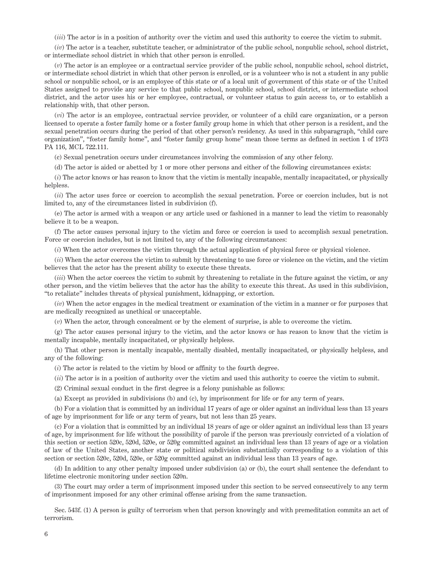(*iii*) The actor is in a position of authority over the victim and used this authority to coerce the victim to submit.

(*iv*) The actor is a teacher, substitute teacher, or administrator of the public school, nonpublic school, school district, or intermediate school district in which that other person is enrolled.

(*v*) The actor is an employee or a contractual service provider of the public school, nonpublic school, school district, or intermediate school district in which that other person is enrolled, or is a volunteer who is not a student in any public school or nonpublic school, or is an employee of this state or of a local unit of government of this state or of the United States assigned to provide any service to that public school, nonpublic school, school district, or intermediate school district, and the actor uses his or her employee, contractual, or volunteer status to gain access to, or to establish a relationship with, that other person.

(*vi*) The actor is an employee, contractual service provider, or volunteer of a child care organization, or a person licensed to operate a foster family home or a foster family group home in which that other person is a resident, and the sexual penetration occurs during the period of that other person's residency. As used in this subparagraph, "child care organization", "foster family home", and "foster family group home" mean those terms as defined in section 1 of 1973 PA 116, MCL 722.111.

(c) Sexual penetration occurs under circumstances involving the commission of any other felony.

(d) The actor is aided or abetted by 1 or more other persons and either of the following circumstances exists:

(*i*) The actor knows or has reason to know that the victim is mentally incapable, mentally incapacitated, or physically helpless.

(*ii*) The actor uses force or coercion to accomplish the sexual penetration. Force or coercion includes, but is not limited to, any of the circumstances listed in subdivision (f).

(e) The actor is armed with a weapon or any article used or fashioned in a manner to lead the victim to reasonably believe it to be a weapon.

(f) The actor causes personal injury to the victim and force or coercion is used to accomplish sexual penetration. Force or coercion includes, but is not limited to, any of the following circumstances:

(*i*) When the actor overcomes the victim through the actual application of physical force or physical violence.

(*ii*) When the actor coerces the victim to submit by threatening to use force or violence on the victim, and the victim believes that the actor has the present ability to execute these threats.

(*iii*) When the actor coerces the victim to submit by threatening to retaliate in the future against the victim, or any other person, and the victim believes that the actor has the ability to execute this threat. As used in this subdivision, "to retaliate" includes threats of physical punishment, kidnapping, or extortion.

(*iv*) When the actor engages in the medical treatment or examination of the victim in a manner or for purposes that are medically recognized as unethical or unacceptable.

(*v*) When the actor, through concealment or by the element of surprise, is able to overcome the victim.

(g) The actor causes personal injury to the victim, and the actor knows or has reason to know that the victim is mentally incapable, mentally incapacitated, or physically helpless.

(h) That other person is mentally incapable, mentally disabled, mentally incapacitated, or physically helpless, and any of the following:

(*i*) The actor is related to the victim by blood or affinity to the fourth degree.

(*ii*) The actor is in a position of authority over the victim and used this authority to coerce the victim to submit.

(2) Criminal sexual conduct in the first degree is a felony punishable as follows:

(a) Except as provided in subdivisions (b) and (c), by imprisonment for life or for any term of years.

(b) For a violation that is committed by an individual 17 years of age or older against an individual less than 13 years of age by imprisonment for life or any term of years, but not less than 25 years.

(c) For a violation that is committed by an individual 18 years of age or older against an individual less than 13 years of age, by imprisonment for life without the possibility of parole if the person was previously convicted of a violation of this section or section 520c, 520d, 520e, or 520g committed against an individual less than 13 years of age or a violation of law of the United States, another state or political subdivision substantially corresponding to a violation of this section or section 520c, 520d, 520e, or 520g committed against an individual less than 13 years of age.

(d) In addition to any other penalty imposed under subdivision (a) or (b), the court shall sentence the defendant to lifetime electronic monitoring under section 520n.

(3) The court may order a term of imprisonment imposed under this section to be served consecutively to any term of imprisonment imposed for any other criminal offense arising from the same transaction.

Sec. 543f. (1) A person is guilty of terrorism when that person knowingly and with premeditation commits an act of terrorism.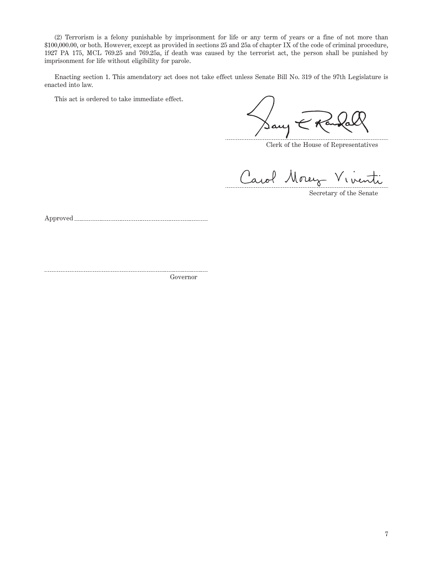(2) Terrorism is a felony punishable by imprisonment for life or any term of years or a fine of not more than \$100,000.00, or both. However, except as provided in sections 25 and 25a of chapter IX of the code of criminal procedure, 1927 PA 175, MCL 769.25 and 769.25a, if death was caused by the terrorist act, the person shall be punished by imprisonment for life without eligibility for parole.

Enacting section 1. This amendatory act does not take effect unless Senate Bill No. 319 of the 97th Legislature is enacted into law.

This act is ordered to take immediate effect.

 $\lambda$ ay . . . . . . . . . . . . . . .

Clerk of the House of Representatives

Carol Morey Viver

Secretary of the Senate

Approved

. . . . . . . . . . . . . . . . . . . Governor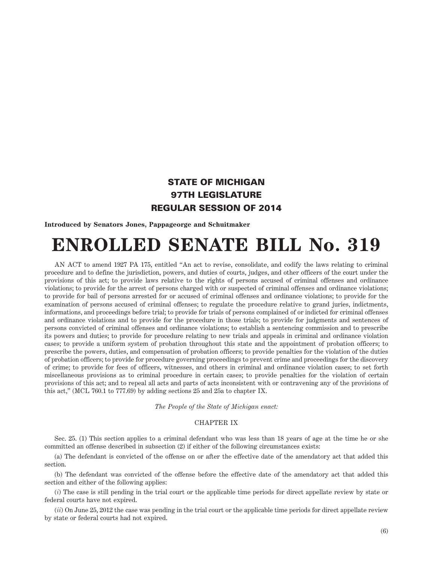# STATE OF MICHIGAN 97TH LEGISLATURE REGULAR SESSION OF 2014

#### **Introduced by Senators Jones, Pappageorge and Schuitmaker**

# **ENROLLED SENATE BILL No. 319**

AN ACT to amend 1927 PA 175, entitled "An act to revise, consolidate, and codify the laws relating to criminal procedure and to define the jurisdiction, powers, and duties of courts, judges, and other officers of the court under the provisions of this act; to provide laws relative to the rights of persons accused of criminal offenses and ordinance violations; to provide for the arrest of persons charged with or suspected of criminal offenses and ordinance violations; to provide for bail of persons arrested for or accused of criminal offenses and ordinance violations; to provide for the examination of persons accused of criminal offenses; to regulate the procedure relative to grand juries, indictments, informations, and proceedings before trial; to provide for trials of persons complained of or indicted for criminal offenses and ordinance violations and to provide for the procedure in those trials; to provide for judgments and sentences of persons convicted of criminal offenses and ordinance violations; to establish a sentencing commission and to prescribe its powers and duties; to provide for procedure relating to new trials and appeals in criminal and ordinance violation cases; to provide a uniform system of probation throughout this state and the appointment of probation officers; to prescribe the powers, duties, and compensation of probation officers; to provide penalties for the violation of the duties of probation officers; to provide for procedure governing proceedings to prevent crime and proceedings for the discovery of crime; to provide for fees of officers, witnesses, and others in criminal and ordinance violation cases; to set forth miscellaneous provisions as to criminal procedure in certain cases; to provide penalties for the violation of certain provisions of this act; and to repeal all acts and parts of acts inconsistent with or contravening any of the provisions of this act," (MCL 760.1 to 777.69) by adding sections 25 and 25a to chapter IX.

*The People of the State of Michigan enact:*

#### CHAPTER IX

Sec. 25. (1) This section applies to a criminal defendant who was less than 18 years of age at the time he or she committed an offense described in subsection (2) if either of the following circumstances exists:

(a) The defendant is convicted of the offense on or after the effective date of the amendatory act that added this section.

(b) The defendant was convicted of the offense before the effective date of the amendatory act that added this section and either of the following applies:

(*i*) The case is still pending in the trial court or the applicable time periods for direct appellate review by state or federal courts have not expired.

(*ii*) On June 25, 2012 the case was pending in the trial court or the applicable time periods for direct appellate review by state or federal courts had not expired.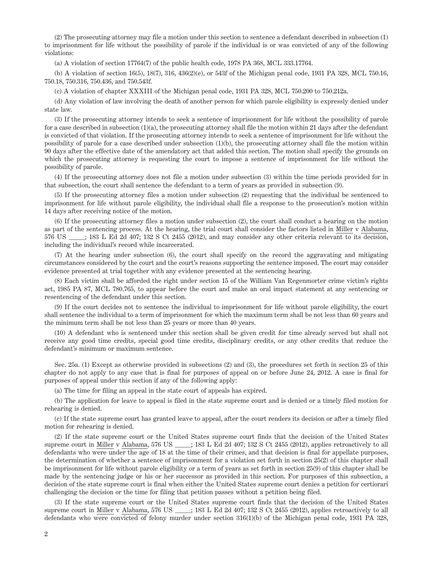(2) The prosecuting attorney may file a motion under this section to sentence a defendant described in subsection (1) to imprisonment for life without the possibility of parole if the individual is or was convicted of any of the following violations:

(a) A violation of section 17764(7) of the public health code, 1978 PA 368, MCL 333.17764.

(b) A violation of section 16(5), 18(7), 316, 436(2)(e), or 543f of the Michigan penal code, 1931 PA 328, MCL 750.16, 750.18, 750.316, 750.436, and 750.543f.

(c) A violation of chapter XXXIII of the Michigan penal code, 1931 PA 328, MCL 750.200 to 750.212a.

(d) Any violation of law involving the death of another person for which parole eligibility is expressly denied under state law.

(3) If the prosecuting attorney intends to seek a sentence of imprisonment for life without the possibility of parole for a case described in subsection (1)(a), the prosecuting attorney shall file the motion within 21 days after the defendant is convicted of that violation. If the prosecuting attorney intends to seek a sentence of imprisonment for life without the possibility of parole for a case described under subsection (1)(b), the prosecuting attorney shall file the motion within 90 days after the effective date of the amendatory act that added this section. The motion shall specify the grounds on which the prosecuting attorney is requesting the court to impose a sentence of imprisonment for life without the possibility of parole.

(4) If the prosecuting attorney does not file a motion under subsection (3) within the time periods provided for in that subsection, the court shall sentence the defendant to a term of years as provided in subsection (9).

(5) If the prosecuting attorney files a motion under subsection (2) requesting that the individual be sentenced to imprisonment for life without parole eligibility, the individual shall file a response to the prosecution's motion within 14 days after receiving notice of the motion.

(6) If the prosecuting attorney files a motion under subsection (2), the court shall conduct a hearing on the motion as part of the sentencing process. At the hearing, the trial court shall consider the factors listed in Miller v Alabama, 576 US \_\_\_\_\_; 183 L Ed 2d 407; 132 S Ct 2455 (2012), and may consider any other criteria relevant to its decision, including the individual's record while incarcerated.

(7) At the hearing under subsection (6), the court shall specify on the record the aggravating and mitigating circumstances considered by the court and the court's reasons supporting the sentence imposed. The court may consider evidence presented at trial together with any evidence presented at the sentencing hearing.

(8) Each victim shall be afforded the right under section 15 of the William Van Regenmorter crime victim's rights act, 1985 PA 87, MCL 780.765, to appear before the court and make an oral impact statement at any sentencing or resentencing of the defendant under this section.

(9) If the court decides not to sentence the individual to imprisonment for life without parole eligibility, the court shall sentence the individual to a term of imprisonment for which the maximum term shall be not less than 60 years and the minimum term shall be not less than 25 years or more than 40 years.

(10) A defendant who is sentenced under this section shall be given credit for time already served but shall not receive any good time credits, special good time credits, disciplinary credits, or any other credits that reduce the defendant's minimum or maximum sentence.

Sec. 25a. (1) Except as otherwise provided in subsections (2) and (3), the procedures set forth in section 25 of this chapter do not apply to any case that is final for purposes of appeal on or before June 24, 2012. A case is final for purposes of appeal under this section if any of the following apply:

(a) The time for filing an appeal in the state court of appeals has expired.

(b) The application for leave to appeal is filed in the state supreme court and is denied or a timely filed motion for rehearing is denied.

(c) If the state supreme court has granted leave to appeal, after the court renders its decision or after a timely filed motion for rehearing is denied.

(2) If the state supreme court or the United States supreme court finds that the decision of the United States supreme court in Miller v Alabama, 576 US \_\_\_\_; 183 L Ed 2d 407; 132 S Ct 2455 (2012), applies retroactively to all defendants who were under the age of 18 at the time of their crimes, and that decision is final for appellate purposes, the determination of whether a sentence of imprisonment for a violation set forth in section 25(2) of this chapter shall be imprisonment for life without parole eligibility or a term of years as set forth in section 25(9) of this chapter shall be made by the sentencing judge or his or her successor as provided in this section. For purposes of this subsection, a decision of the state supreme court is final when either the United States supreme court denies a petition for certiorari challenging the decision or the time for filing that petition passes without a petition being filed.

(3) If the state supreme court or the United States supreme court finds that the decision of the United States supreme court in Miller v Alabama, 576 US \_\_\_\_; 183 L Ed 2d 407; 132 S Ct 2455 (2012), applies retroactively to all defendants who were convicted of felony murder under section 316(1)(b) of the Michigan penal code, 1931 PA 328,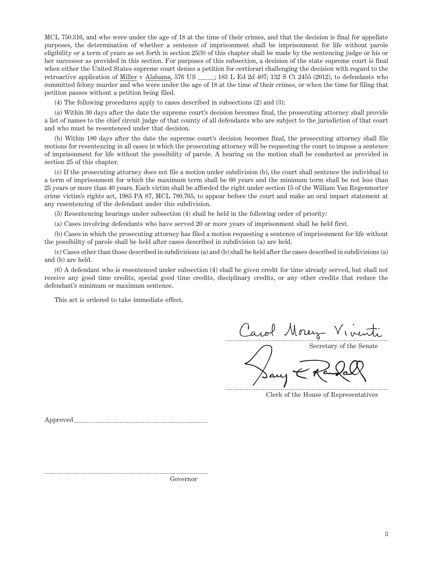MCL 750.316, and who were under the age of 18 at the time of their crimes, and that the decision is final for appellate purposes, the determination of whether a sentence of imprisonment shall be imprisonment for life without parole eligibility or a term of years as set forth in section 25(9) of this chapter shall be made by the sentencing judge or his or her successor as provided in this section. For purposes of this subsection, a decision of the state supreme court is final when either the United States supreme court denies a petition for certiorari challenging the decision with regard to the retroactive application of Miller v Alabama, 576 US \_\_\_\_\_; 183 L Ed 2d 407; 132 S Ct 2455 (2012), to defendants who committed felony murder and who were under the age of 18 at the time of their crimes, or when the time for filing that petition passes without a petition being filed.

(4) The following procedures apply to cases described in subsections (2) and (3):

(a) Within 30 days after the date the supreme court's decision becomes final, the prosecuting attorney shall provide a list of names to the chief circuit judge of that county of all defendants who are subject to the jurisdiction of that court and who must be resentenced under that decision.

(b) Within 180 days after the date the supreme court's decision becomes final, the prosecuting attorney shall file motions for resentencing in all cases in which the prosecuting attorney will be requesting the court to impose a sentence of imprisonment for life without the possibility of parole. A hearing on the motion shall be conducted as provided in section 25 of this chapter.

(c) If the prosecuting attorney does not file a motion under subdivision (b), the court shall sentence the individual to a term of imprisonment for which the maximum term shall be 60 years and the minimum term shall be not less than 25 years or more than 40 years. Each victim shall be afforded the right under section 15 of the William Van Regenmorter crime victim's rights act, 1985 PA 87, MCL 780.765, to appear before the court and make an oral impact statement at any resentencing of the defendant under this subdivision.

(5) Resentencing hearings under subsection (4) shall be held in the following order of priority:

(a) Cases involving defendants who have served 20 or more years of imprisonment shall be held first.

(b) Cases in which the prosecuting attorney has filed a motion requesting a sentence of imprisonment for life without the possibility of parole shall be held after cases described in subdivision (a) are held.

(c) Cases other than those described in subdivisions (a) and (b) shall be held after the cases described in subdivisions (a) and (b) are held.

(6) A defendant who is resentenced under subsection (4) shall be given credit for time already served, but shall not receive any good time credits, special good time credits, disciplinary credits, or any other credits that reduce the defendant's minimum or maximum sentence.

This act is ordered to take immediate effect.

Carol Morey

Secretary of the Senate

Clerk of the House of Representatives

Approved

Governor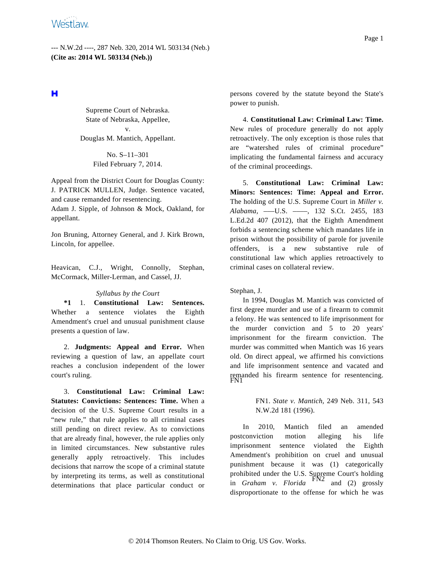## н

Supreme Court of Nebraska. State of Nebraska, Appellee, v. Douglas M. Mantich, Appellant.

> No. S–11–301 Filed February 7, 2014.

Appeal from the District Court for Douglas County: J. PATRICK MULLEN, Judge. Sentence vacated, and cause remanded for resentencing. Adam J. Sipple, of Johnson & Mock, Oakland, for appellant.

Jon Bruning, Attorney General, and J. Kirk Brown, Lincoln, for appellee.

Heavican, C.J., Wright, Connolly, Stephan, McCormack, Miller-Lerman, and Cassel, JJ.

#### *Syllabus by the Court*

**\*1** 1. **Constitutional Law: Sentences.** Whether a sentence violates the Eighth Amendment's cruel and unusual punishment clause presents a question of law.

2. **Judgments: Appeal and Error.** When reviewing a question of law, an appellate court reaches a conclusion independent of the lower court's ruling.

3. **Constitutional Law: Criminal Law: Statutes: Convictions: Sentences: Time.** When a decision of the U.S. Supreme Court results in a "new rule," that rule applies to all criminal cases still pending on direct review. As to convictions that are already final, however, the rule applies only in limited circumstances. New substantive rules generally apply retroactively. This includes decisions that narrow the scope of a criminal statute by interpreting its terms, as well as constitutional determinations that place particular conduct or

persons covered by the statute beyond the State's power to punish.

4. **Constitutional Law: Criminal Law: Time.** New rules of procedure generally do not apply retroactively. The only exception is those rules that are "watershed rules of criminal procedure" implicating the fundamental fairness and accuracy of the criminal proceedings.

5. **Constitutional Law: Criminal Law: Minors: Sentences: Time: Appeal and Error.** The holding of the U.S. Supreme Court in *Miller v. Alabama,* –––U.S. ––––, 132 S.Ct. 2455, 183 L.Ed.2d 407 (2012), that the Eighth Amendment forbids a sentencing scheme which mandates life in prison without the possibility of parole for juvenile offenders, is a new substantive rule of constitutional law which applies retroactively to criminal cases on collateral review.

Stephan, J.

In 1994, Douglas M. Mantich was convicted of first degree murder and use of a firearm to commit a felony. He was sentenced to life imprisonment for the murder conviction and 5 to 20 years' imprisonment for the firearm conviction. The murder was committed when Mantich was 16 years old. On direct appeal, we affirmed his convictions and life imprisonment sentence and vacated and remanded his firearm sentence for resentencing. FN1

> FN1. *State v. Mantich,* 249 Neb. 311, 543 N.W.2d 181 (1996).

In 2010, Mantich filed an amended postconviction motion alleging his life imprisonment sentence violated the Eighth Amendment's prohibition on cruel and unusual punishment because it was (1) categorically prohibited under the U.S. Supreme Court's holding in *Graham v. Florida* <sup>FINZ</sup> and (2) grossly disproportionate to the offense for which he was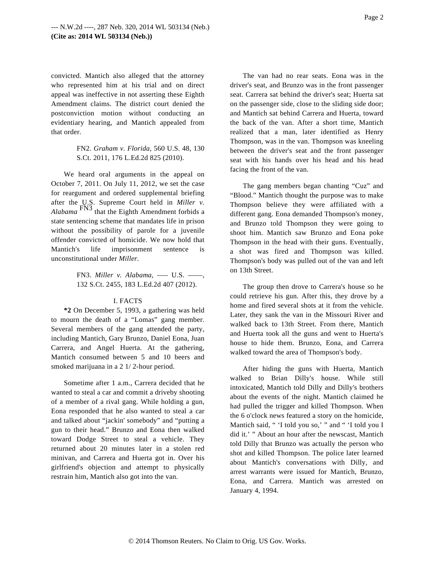convicted. Mantich also alleged that the attorney who represented him at his trial and on direct appeal was ineffective in not asserting these Eighth Amendment claims. The district court denied the postconviction motion without conducting an evidentiary hearing, and Mantich appealed from that order.

## FN2. *Graham v. Florida,* 560 U.S. 48, 130 S.Ct. 2011, 176 L.Ed.2d 825 (2010).

We heard oral arguments in the appeal on October 7, 2011. On July 11, 2012, we set the case for reargument and ordered supplemental briefing after the U.S. Supreme Court held in *Miller v. Alabama* FN3 that the Eighth Amendment forbids a state sentencing scheme that mandates life in prison without the possibility of parole for a juvenile offender convicted of homicide. We now hold that Mantich's life imprisonment sentence is unconstitutional under *Miller.*

> FN3. *Miller v. Alabama,* ––– U.S. ––––, 132 S.Ct. 2455, 183 L.Ed.2d 407 (2012).

#### I. FACTS

**\*2** On December 5, 1993, a gathering was held to mourn the death of a "Lomas" gang member. Several members of the gang attended the party, including Mantich, Gary Brunzo, Daniel Eona, Juan Carrera, and Angel Huerta. At the gathering, Mantich consumed between 5 and 10 beers and smoked marijuana in a 2 1/ 2-hour period.

Sometime after 1 a.m., Carrera decided that he wanted to steal a car and commit a driveby shooting of a member of a rival gang. While holding a gun, Eona responded that he also wanted to steal a car and talked about "jackin' somebody" and "putting a gun to their head." Brunzo and Eona then walked toward Dodge Street to steal a vehicle. They returned about 20 minutes later in a stolen red minivan, and Carrera and Huerta got in. Over his girlfriend's objection and attempt to physically restrain him, Mantich also got into the van.

The van had no rear seats. Eona was in the driver's seat, and Brunzo was in the front passenger seat. Carrera sat behind the driver's seat; Huerta sat on the passenger side, close to the sliding side door; and Mantich sat behind Carrera and Huerta, toward the back of the van. After a short time, Mantich realized that a man, later identified as Henry Thompson, was in the van. Thompson was kneeling between the driver's seat and the front passenger seat with his hands over his head and his head facing the front of the van.

The gang members began chanting "Cuz" and "Blood." Mantich thought the purpose was to make Thompson believe they were affiliated with a different gang. Eona demanded Thompson's money, and Brunzo told Thompson they were going to shoot him. Mantich saw Brunzo and Eona poke Thompson in the head with their guns. Eventually, a shot was fired and Thompson was killed. Thompson's body was pulled out of the van and left on 13th Street.

The group then drove to Carrera's house so he could retrieve his gun. After this, they drove by a home and fired several shots at it from the vehicle. Later, they sank the van in the Missouri River and walked back to 13th Street. From there, Mantich and Huerta took all the guns and went to Huerta's house to hide them. Brunzo, Eona, and Carrera walked toward the area of Thompson's body.

After hiding the guns with Huerta, Mantich walked to Brian Dilly's house. While still intoxicated, Mantich told Dilly and Dilly's brothers about the events of the night. Mantich claimed he had pulled the trigger and killed Thompson. When the 6 o'clock news featured a story on the homicide, Mantich said, " 'I told you so,' " and " 'I told you I did it.' " About an hour after the newscast, Mantich told Dilly that Brunzo was actually the person who shot and killed Thompson. The police later learned about Mantich's conversations with Dilly, and arrest warrants were issued for Mantich, Brunzo, Eona, and Carrera. Mantich was arrested on January 4, 1994.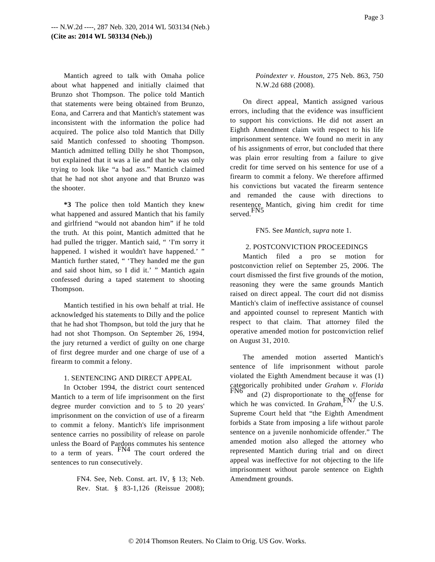Mantich agreed to talk with Omaha police about what happened and initially claimed that Brunzo shot Thompson. The police told Mantich that statements were being obtained from Brunzo, Eona, and Carrera and that Mantich's statement was inconsistent with the information the police had acquired. The police also told Mantich that Dilly said Mantich confessed to shooting Thompson. Mantich admitted telling Dilly he shot Thompson, but explained that it was a lie and that he was only trying to look like "a bad ass." Mantich claimed that he had not shot anyone and that Brunzo was the shooter.

**\*3** The police then told Mantich they knew what happened and assured Mantich that his family and girlfriend "would not abandon him" if he told the truth. At this point, Mantich admitted that he had pulled the trigger. Mantich said, " 'I'm sorry it happened. I wished it wouldn't have happened.' " Mantich further stated, " 'They handed me the gun and said shoot him, so I did it.' " Mantich again confessed during a taped statement to shooting Thompson.

Mantich testified in his own behalf at trial. He acknowledged his statements to Dilly and the police that he had shot Thompson, but told the jury that he had not shot Thompson. On September 26, 1994, the jury returned a verdict of guilty on one charge of first degree murder and one charge of use of a firearm to commit a felony.

#### 1. SENTENCING AND DIRECT APPEAL

In October 1994, the district court sentenced Mantich to a term of life imprisonment on the first degree murder conviction and to 5 to 20 years' imprisonment on the conviction of use of a firearm to commit a felony. Mantich's life imprisonment sentence carries no possibility of release on parole unless the Board of Pardons commutes his sentence<br>to a term of years. FN4 The court ordered the sentences to run consecutively.

> FN4. See, Neb. Const. art. IV, § 13; Neb. Rev. Stat. § 83-1,126 (Reissue 2008);

#### *Poindexter v. Houston,* 275 Neb. 863, 750 N.W.2d 688 (2008).

On direct appeal, Mantich assigned various errors, including that the evidence was insufficient to support his convictions. He did not assert an Eighth Amendment claim with respect to his life imprisonment sentence. We found no merit in any of his assignments of error, but concluded that there was plain error resulting from a failure to give credit for time served on his sentence for use of a firearm to commit a felony. We therefore affirmed his convictions but vacated the firearm sentence and remanded the cause with directions to resentence Mantich, giving him credit for time served.FN5

#### FN5. See *Mantich, supra* note 1.

#### 2. POSTCONVICTION PROCEEDINGS

Mantich filed a pro se motion for postconviction relief on September 25, 2006. The court dismissed the first five grounds of the motion, reasoning they were the same grounds Mantich raised on direct appeal. The court did not dismiss Mantich's claim of ineffective assistance of counsel and appointed counsel to represent Mantich with respect to that claim. That attorney filed the operative amended motion for postconviction relief on August 31, 2010.

The amended motion asserted Mantich's sentence of life imprisonment without parole violated the Eighth Amendment because it was (1) categorically prohibited under *Graham v. Florida* FN6 and (2) disproportionate to the offense for which he was convicted. In *Graham*, FN7 the U.S. Supreme Court held that "the Eighth Amendment forbids a State from imposing a life without parole sentence on a juvenile nonhomicide offender." The amended motion also alleged the attorney who represented Mantich during trial and on direct appeal was ineffective for not objecting to the life imprisonment without parole sentence on Eighth Amendment grounds.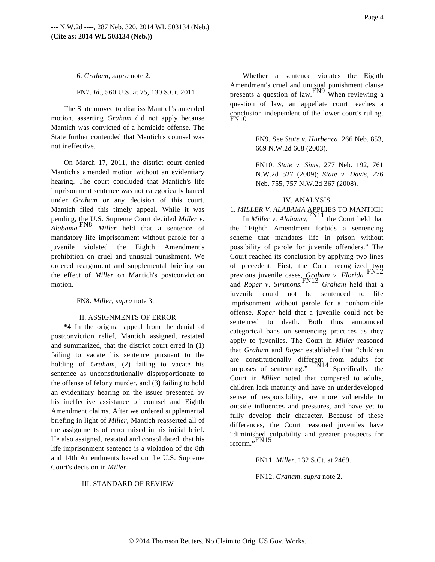6. *Graham, supra* note 2.

FN7. *Id.,* 560 U.S. at 75, 130 S.Ct. 2011.

The State moved to dismiss Mantich's amended motion, asserting *Graham* did not apply because Mantich was convicted of a homicide offense. The State further contended that Mantich's counsel was not ineffective.

On March 17, 2011, the district court denied Mantich's amended motion without an evidentiary hearing. The court concluded that Mantich's life imprisonment sentence was not categorically barred under *Graham* or any decision of this court. Mantich filed this timely appeal. While it was pending, the U.S. Supreme Court decided *Miller v. Alabama.*FN8 *Miller* held that a sentence of mandatory life imprisonment without parole for a juvenile violated the Eighth Amendment's prohibition on cruel and unusual punishment. We ordered reargument and supplemental briefing on the effect of *Miller* on Mantich's postconviction motion.

#### FN8. *Miller, supra* note 3.

#### II. ASSIGNMENTS OF ERROR

**\*4** In the original appeal from the denial of postconviction relief, Mantich assigned, restated and summarized, that the district court erred in (1) failing to vacate his sentence pursuant to the holding of *Graham,* (2) failing to vacate his sentence as unconstitutionally disproportionate to the offense of felony murder, and (3) failing to hold an evidentiary hearing on the issues presented by his ineffective assistance of counsel and Eighth Amendment claims. After we ordered supplemental briefing in light of *Miller,* Mantich reasserted all of the assignments of error raised in his initial brief. He also assigned, restated and consolidated, that his life imprisonment sentence is a violation of the 8th and 14th Amendments based on the U.S. Supreme Court's decision in *Miller.*

Page 4

Whether a sentence violates the Eighth Amendment's cruel and unusual punishment clause<br>presents a question of law. <sup>FN9</sup> When reviewing a question of law, an appellate court reaches a conclusion independent of the lower court's ruling. FN10

> FN9. See *State v. Hurbenca,* 266 Neb. 853, 669 N.W.2d 668 (2003).

> FN10. *State v. Sims,* 277 Neb. 192, 761 N.W.2d 527 (2009); *State v. Davis,* 276 Neb. 755, 757 N.W.2d 367 (2008).

#### IV. ANALYSIS

1. *MILLER V. ALABAMA* APPLIES TO MANTICH

In *Miller v. Alabama*, FN11 the Court held that the "Eighth Amendment forbids a sentencing scheme that mandates life in prison without possibility of parole for juvenile offenders." The Court reached its conclusion by applying two lines of precedent. First, the Court recognized two previous juvenile cases, *Graham v. Florida* FN12 and *Roper v. Simmons.*FN13 *Graham* held that a juvenile could not be sentenced to life imprisonment without parole for a nonhomicide offense. *Roper* held that a juvenile could not be sentenced to death. Both thus announced categorical bans on sentencing practices as they apply to juveniles. The Court in *Miller* reasoned that *Graham* and *Roper* established that "children are constitutionally different from adults for<br>purposes of sentencing." FN14 Specifically, the Court in *Miller* noted that compared to adults, children lack maturity and have an underdeveloped sense of responsibility, are more vulnerable to outside influences and pressures, and have yet to fully develop their character. Because of these differences, the Court reasoned juveniles have "diminished culpability and greater prospects for reform."FN15

FN11. *Miller*, 132 S.Ct. at 2469.

FN12. *Graham, supra* note 2.

#### III. STANDARD OF REVIEW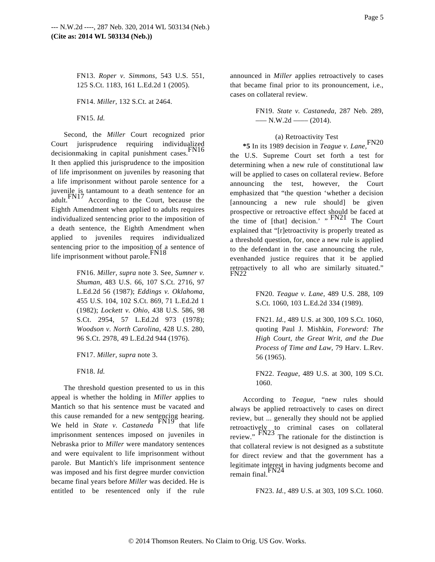FN13. *Roper v. Simmons,* 543 U.S. 551, 125 S.Ct. 1183, 161 L.Ed.2d 1 (2005).

FN14. *Miller*, 132 S.Ct. at 2464.

FN15. *Id.*

Second, the *Miller* Court recognized prior Court jurisprudence requiring individualized decisionmaking in capital punishment cases. FN16 It then applied this jurisprudence to the imposition of life imprisonment on juveniles by reasoning that a life imprisonment without parole sentence for a juvenile is tantamount to a death sentence for an<br>adult. The According to the Court, because the Eighth Amendment when applied to adults requires individualized sentencing prior to the imposition of a death sentence, the Eighth Amendment when applied to juveniles requires individualized sentencing prior to the imposition of a sentence of life imprisonment without parole.<sup>FN18</sup>

> FN16. *Miller, supra* note 3. See, *Sumner v. Shuman,* 483 U.S. 66, 107 S.Ct. 2716, 97 L.Ed.2d 56 (1987); *Eddings v. Oklahoma,* 455 U.S. 104, 102 S.Ct. 869, 71 L.Ed.2d 1 (1982); *Lockett v. Ohio,* 438 U.S. 586, 98 S.Ct. 2954, 57 L.Ed.2d 973 (1978); *Woodson v. North Carolina,* 428 U.S. 280, 96 S.Ct. 2978, 49 L.Ed.2d 944 (1976).

FN17. *Miller, supra* note 3.

FN18. *Id.*

The threshold question presented to us in this appeal is whether the holding in *Miller* applies to Mantich so that his sentence must be vacated and this cause remanded for a new sentencing hearing. We held in *State v. Castaneda* FN19 that life imprisonment sentences imposed on juveniles in Nebraska prior to *Miller* were mandatory sentences and were equivalent to life imprisonment without parole. But Mantich's life imprisonment sentence was imposed and his first degree murder conviction became final years before *Miller* was decided. He is entitled to be resentenced only if the rule announced in *Miller* applies retroactively to cases that became final prior to its pronouncement, i.e., cases on collateral review.

> FN19. *State v. Castaneda,* 287 Neb. 289,  $\frac{\text{N.W.2d}}{\text{N.W.2d}}$  (2014).

#### (a) Retroactivity Test

**\*5** In its 1989 decision in *Teague v. Lane,*FN20 the U.S. Supreme Court set forth a test for determining when a new rule of constitutional law will be applied to cases on collateral review. Before announcing the test, however, the Court emphasized that "the question 'whether a decision [announcing a new rule should] be given prospective or retroactive effect should be faced at the time of [that] decision.' "  $FN21$  The Court explained that "[r]etroactivity is properly treated as a threshold question, for, once a new rule is applied to the defendant in the case announcing the rule, evenhanded justice requires that it be applied retroactively to all who are similarly situated." FN22

> FN20. *Teague v. Lane,* 489 U.S. 288, 109 S.Ct. 1060, 103 L.Ed.2d 334 (1989).

> FN21. *Id.,* 489 U.S. at 300, 109 S.Ct. 1060, quoting Paul J. Mishkin, *Foreword: The High Court, the Great Writ, and the Due Process of Time and Law,* 79 Harv. L.Rev. 56 (1965).

> FN22. *Teague*, 489 U.S. at 300, 109 S.Ct. 1060.

According to *Teague,* "new rules should always be applied retroactively to cases on direct review, but ... generally they should not be applied retroactively to criminal cases on collateral review." FN23 The rationale for the distinction is that collateral review is not designed as a substitute for direct review and that the government has a legitimate interest in having judgments become and remain final.FN24

FN23. *Id.,* 489 U.S. at 303, 109 S.Ct. 1060.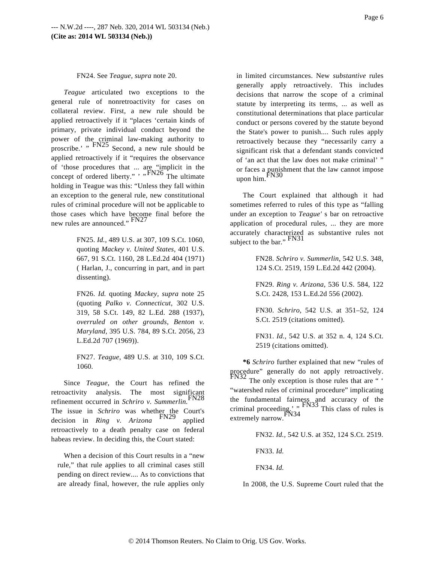#### FN24. See *Teague, supra* note 20.

*Teague* articulated two exceptions to the general rule of nonretroactivity for cases on collateral review. First, a new rule should be applied retroactively if it "places 'certain kinds of primary, private individual conduct beyond the power of the criminal law-making authority to<br>proscribe.' " FN25 Second, a new rule should be applied retroactively if it "requires the observance of 'those procedures that ... are "implicit in the concept of ordered liberty." "FN26 The ultimate holding in Teague was this: "Unless they fall within an exception to the general rule, new constitutional rules of criminal procedure will not be applicable to those cases which have become final before the new rules are announced." FN27

> FN25. *Id.,* 489 U.S. at 307, 109 S.Ct. 1060, quoting *Mackey v. United States,* 401 U.S. 667, 91 S.Ct. 1160, 28 L.Ed.2d 404 (1971) ( Harlan, J., concurring in part, and in part dissenting).

> FN26. *Id.* quoting *Mackey, supra* note 25 (quoting *Palko v. Connecticut,* 302 U.S. 319, 58 S.Ct. 149, 82 L.Ed. 288 (1937), *overruled on other grounds, Benton v. Maryland,* 395 U.S. 784, 89 S.Ct. 2056, 23 L.Ed.2d 707 (1969)).

> FN27. *Teague*, 489 U.S. at 310, 109 S.Ct. 1060.

Since *Teague,* the Court has refined the retroactivity analysis. The most significant refinement occurred in *Schriro v. Summerlin.*FN28 The issue in *Schriro* was whether the Court's decision in *Ring v. Arizona* FN29 applied retroactively to a death penalty case on federal habeas review. In deciding this, the Court stated:

When a decision of this Court results in a "new rule," that rule applies to all criminal cases still pending on direct review.... As to convictions that are already final, however, the rule applies only

in limited circumstances. New *substantive* rules generally apply retroactively. This includes decisions that narrow the scope of a criminal statute by interpreting its terms, ... as well as constitutional determinations that place particular conduct or persons covered by the statute beyond the State's power to punish.... Such rules apply retroactively because they "necessarily carry a significant risk that a defendant stands convicted of 'an act that the law does not make criminal' " or faces a punishment that the law cannot impose upon him.FN30

The Court explained that although it had sometimes referred to rules of this type as "falling under an exception to *Teague'* s bar on retroactive application of procedural rules, ... they are more accurately characterized as substantive rules not subject to the bar."  $FN31$ 

> FN28. *Schriro v. Summerlin,* 542 U.S. 348, 124 S.Ct. 2519, 159 L.Ed.2d 442 (2004).

> FN29. *Ring v. Arizona,* 536 U.S. 584, 122 S.Ct. 2428, 153 L.Ed.2d 556 (2002).

> FN30. *Schriro*, 542 U.S. at 351–52, 124 S.Ct. 2519 (citations omitted).

> FN31. *Id.,* 542 U.S. at 352 n. 4, 124 S.Ct. 2519 (citations omitted).

**\*6** *Schriro* further explained that new "rules of procedure" generally do not apply retroactively.<br>FN32 The only exception is those rules that are " "watershed rules of criminal procedure" implicating the fundamental fairness and accuracy of the criminal proceeding...  $\frac{FN33}{}$  This class of rules is extremely narrow.<sup>FN34</sup>

FN32. *Id.,* 542 U.S. at 352, 124 S.Ct. 2519.

FN33. *Id.*

FN34. *Id.*

In 2008, the U.S. Supreme Court ruled that the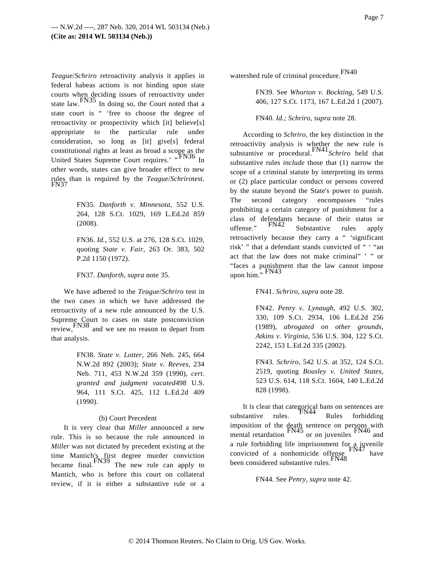*Teague*/*Schriro* retroactivity analysis it applies in federal habeas actions is not binding upon state courts when deciding issues of retroactivity under state law. FN35 In doing so, the Court noted that a state court is " 'free to choose the degree of retroactivity or prospectivity which [it] believe[s] appropriate to the particular rule under consideration, so long as [it] give[s] federal constitutional rights at least as broad a scope as the United States Supreme Court requires.' "FN36 In other words, states can give broader effect to new rules than is required by the *Teague*/*Schriro*test. FN37

> FN35. *Danforth v. Minnesota,* 552 U.S. 264, 128 S.Ct. 1029, 169 L.Ed.2d 859 (2008).

> FN36. *Id.,* 552 U.S. at 276, 128 S.Ct. 1029, quoting *State v. Fair,* 263 Or. 383, 502 P.2d 1150 (1972).

FN37. *Danforth, supra* note 35.

We have adhered to the *Teague*/*Schriro* test in the two cases in which we have addressed the retroactivity of a new rule announced by the U.S. Supreme Court to cases on state postconviction<br>review, FN38 and we see no reason to depart from that analysis.

> FN38. *State v. Lotter,* 266 Neb. 245, 664 N.W.2d 892 (2003); *State v. Reeves,* 234 Neb. 711, 453 N.W.2d 359 (1990), *cert. granted and judgment vacated*498 U.S. 964, 111 S.Ct. 425, 112 L.Ed.2d 409 (1990).

#### (b) Court Precedent

It is very clear that *Miller* announced a new rule. This is so because the rule announced in *Miller* was not dictated by precedent existing at the time Mantich's first degree murder conviction<br>became final. The new rule can apply to Mantich, who is before this court on collateral review, if it is either a substantive rule or a watershed rule of criminal procedure. FN40

FN39. See *Whorton v. Bockting,* 549 U.S. 406, 127 S.Ct. 1173, 167 L.Ed.2d 1 (2007).

FN40. *Id.; Schriro, supra* note 28.

According to *Schriro,* the key distinction in the retroactivity analysis is whether the new rule is<br>substantive or procedural. Schriro held that substantive rules *include* those that (1) narrow the scope of a criminal statute by interpreting its terms or (2) place particular conduct or persons covered by the statute beyond the State's power to punish. The second category encompasses "rules prohibiting a certain category of punishment for a class of defendants because of their status or offense."  $\frac{\Gamma^{1}+2}{\Gamma^{1}+2}$  Substantive rules apply retroactively because they carry a " 'significant risk' " that a defendant stands convicted of " ' "an act that the law does not make criminal" ' " or "faces a punishment that the law cannot impose<br>upon him."  $FN43$ 

FN41. *Schriro, supra* note 28.

FN42. *Penry v. Lynaugh,* 492 U.S. 302, 330, 109 S.Ct. 2934, 106 L.Ed.2d 256 (1989), *abrogated on other grounds, Atkins v. Virginia,* 536 U.S. 304, 122 S.Ct. 2242, 153 L.Ed.2d 335 (2002).

FN43. *Schriro*, 542 U.S. at 352, 124 S.Ct. 2519, quoting *Bousley v. United States,* 523 U.S. 614, 118 S.Ct. 1604, 140 L.Ed.2d 828 (1998).

It is clear that categorical bans on sentences are<br> $F<sup>NA4</sup>$   $F<sup>NA4</sup>$   $F<sup>NI46</sup>$  forbidding substantive rules.  $\frac{\Gamma}{1244}$  Rules forbidding imposition of the death sentence on persons with<br>mental retardation  $\frac{FN45}{FN46}$  or on juveniles  $\frac{FN46}{FN46}$  and a rule forbidding life imprisonment for a juvenile<br>convicted of a nonhomicide offense FN47 have been considered substantive rules.

FN44. See *Penry, supra* note 42.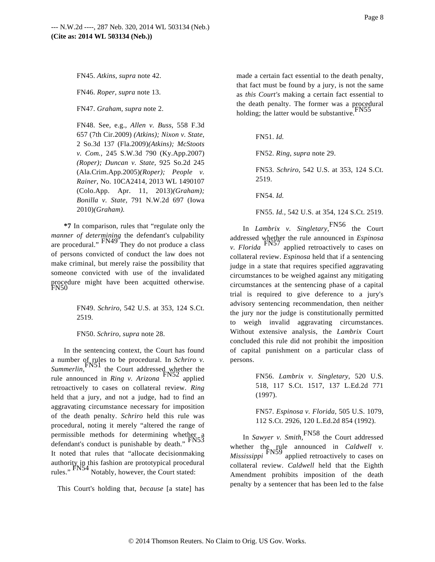FN45. *Atkins, supra* note 42.

FN46. *Roper, supra* note 13.

FN47. *Graham, supra* note 2.

FN48. See, e.g., *Allen v. Buss,* 558 F.3d 657 (7th Cir.2009) *(Atkins); Nixon v. State,* 2 So.3d 137 (Fla.2009)*(Atkins); McStoots v. Com.,* 245 S.W.3d 790 (Ky.App.2007) *(Roper); Duncan v. State,* 925 So.2d 245 (Ala.Crim.App.2005)*(Roper); People v. Rainer,* No. 10CA2414, 2013 WL 1490107 (Colo.App. Apr. 11, 2013)*(Graham); Bonilla v. State,* 791 N.W.2d 697 (Iowa 2010)*(Graham).*

**\*7** In comparison, rules that "regulate only the manner of determining the defendant's culpability<br>are procedural." <sup>FN49</sup> They do not produce a class of persons convicted of conduct the law does not make criminal, but merely raise the possibility that someone convicted with use of the invalidated procedure might have been acquitted otherwise. FN50

> FN49. *Schriro*, 542 U.S. at 353, 124 S.Ct. 2519.

FN50. *Schriro, supra* note 28.

In the sentencing context, the Court has found a number of rules to be procedural. In *Schriro v. Summerlin*, FN51 the Court addressed whether the rule announced in *Ring v. Arizona* FN52 applied retroactively to cases on collateral review. *Ring* held that a jury, and not a judge, had to find an aggravating circumstance necessary for imposition of the death penalty. *Schriro* held this rule was procedural, noting it merely "altered the range of permissible methods for determining whether a defendant's conduct is punishable by death." FN53 It noted that rules that "allocate decisionmaking authority in this fashion are prototypical procedural rules." FN54 Notably, however, the Court stated:

This Court's holding that, *because* [a state] has

made a certain fact essential to the death penalty, that fact must be found by a jury, is not the same as *this Court's* making a certain fact essential to the death penalty. The former was a procedural holding; the latter would be substantive.

FN51. *Id.*

FN52. *Ring, supra* note 29.

FN53. *Schriro*, 542 U.S. at 353, 124 S.Ct. 2519.

FN54. *Id.*

FN55. *Id.,* 542 U.S. at 354, 124 S.Ct. 2519.

In *Lambrix v. Singletary,*FN56 the Court addressed whether the rule announced in *Espinosa v. Florida* FN57 applied retroactively to cases on collateral review. *Espinosa* held that if a sentencing judge in a state that requires specified aggravating circumstances to be weighed against any mitigating circumstances at the sentencing phase of a capital trial is required to give deference to a jury's advisory sentencing recommendation, then neither the jury nor the judge is constitutionally permitted to weigh invalid aggravating circumstances. Without extensive analysis, the *Lambrix* Court concluded this rule did not prohibit the imposition of capital punishment on a particular class of persons.

> FN56. *Lambrix v. Singletary,* 520 U.S. 518, 117 S.Ct. 1517, 137 L.Ed.2d 771 (1997).

> FN57. *Espinosa v. Florida,* 505 U.S. 1079, 112 S.Ct. 2926, 120 L.Ed.2d 854 (1992).

In *Sawyer v. Smith*, FN58 the Court addressed whether the rule announced in *Caldwell v.*<br>*Mississippi* FN59 applied retroactively to cases on collateral review. *Caldwell* held that the Eighth Amendment prohibits imposition of the death penalty by a sentencer that has been led to the false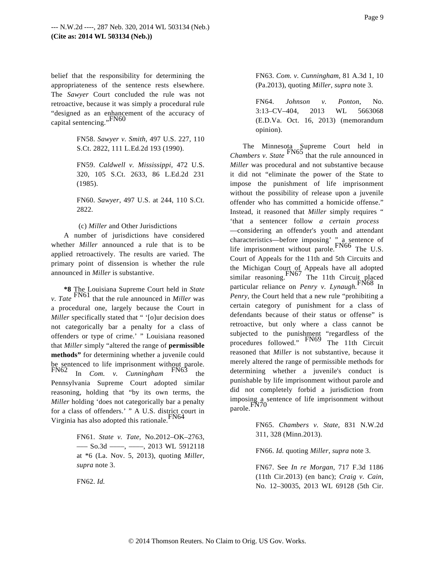belief that the responsibility for determining the appropriateness of the sentence rests elsewhere. The *Sawyer* Court concluded the rule was not retroactive, because it was simply a procedural rule "designed as an enhancement of the accuracy of capital sentencing."FN60

> FN58. *Sawyer v. Smith,* 497 U.S. 227, 110 S.Ct. 2822, 111 L.Ed.2d 193 (1990).

> FN59. *Caldwell v. Mississippi,* 472 U.S. 320, 105 S.Ct. 2633, 86 L.Ed.2d 231 (1985).

> FN60. *Sawyer*, 497 U.S. at 244, 110 S.Ct. 2822.

(c) *Miller* and Other Jurisdictions

A number of jurisdictions have considered whether *Miller* announced a rule that is to be applied retroactively. The results are varied. The primary point of dissension is whether the rule announced in *Miller* is substantive.

**\*8** The Louisiana Supreme Court held in *State that the rule announced in Miller* was a procedural one, largely because the Court in *Miller* specifically stated that " '[o]ur decision does not categorically bar a penalty for a class of offenders or type of crime.' " Louisiana reasoned that *Miller* simply "altered the range of **permissible methods"** for determining whether a juvenile could be sentenced to life imprisonment without parole. FN62 In *Com. v. Cunningham* FN63 the Pennsylvania Supreme Court adopted similar reasoning, holding that "by its own terms, the *Miller* holding 'does not categorically bar a penalty for a class of offenders.' " A U.S. district court in Virginia has also adopted this rationale.<sup>FN64</sup>

> FN61. *State v. Tate,* No.2012–OK–2763, ––– So.3d ––––, ––––, 2013 WL 5912118 at \*6 (La. Nov. 5, 2013), quoting *Miller, supra* note 3.

FN62. *Id.*

FN63. *Com. v. Cunningham,* 81 A.3d 1, 10 (Pa.2013), quoting *Miller, supra* note 3.

FN64. *Johnson v. Ponton,* No. 3:13–CV–404, 2013 WL 5663068 (E.D.Va. Oct. 16, 2013) (memorandum opinion).

The Minnesota Supreme Court held in<br>*Chambers v. State* FN65 that the rule announced in *Miller* was procedural and not substantive because it did not "eliminate the power of the State to impose the punishment of life imprisonment without the possibility of release upon a juvenile offender who has committed a homicide offense." Instead, it reasoned that *Miller* simply requires " 'that a sentencer follow *a certain process* —considering an offender's youth and attendant characteristics—before imposing' " a sentence of<br>life imprisonment without parole. The U.S. Court of Appeals for the 11th and 5th Circuits and the Michigan Court of Appeals have all adopted similar reasoning. FN67 The 11th Circuit placed particular reliance on *Penry v. Lynaugh*.<sup>FN68</sup> In *Penry,* the Court held that a new rule "prohibiting a certain category of punishment for a class of defendants because of their status or offense" is retroactive, but only where a class cannot be subjected to the punishment "regardless of the procedures followed." FN69 The 11th Circuit reasoned that *Miller* is not substantive, because it merely altered the range of permissible methods for determining whether a juvenile's conduct is punishable by life imprisonment without parole and did not completely forbid a jurisdiction from imposing a sentence of life imprisonment without parole.FN70

> FN65. *Chambers v. State,* 831 N.W.2d 311, 328 (Minn.2013).

FN66. *Id.* quoting *Miller, supra* note 3.

FN67. See *In re Morgan,* 717 F.3d 1186 (11th Cir.2013) (en banc); *Craig v. Cain,* No. 12–30035, 2013 WL 69128 (5th Cir.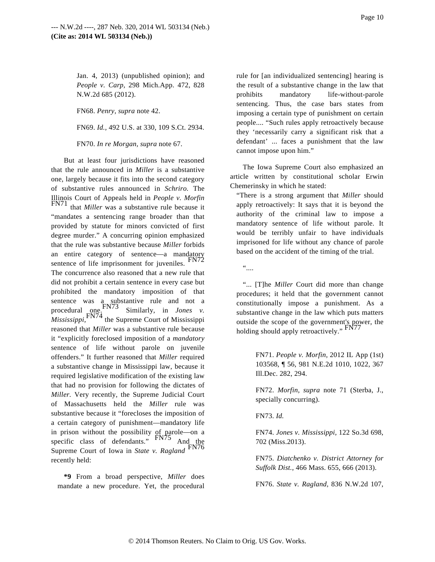Jan. 4, 2013) (unpublished opinion); and *People v. Carp,* 298 Mich.App. 472, 828 N.W.2d 685 (2012).

FN68. *Penry, supra* note 42.

FN69. *Id.,* 492 U.S. at 330, 109 S.Ct. 2934.

FN70. *In re Morgan, supra* note 67.

But at least four jurisdictions have reasoned that the rule announced in *Miller* is a substantive one, largely because it fits into the second category of substantive rules announced in *Schriro.* The Illinois Court of Appeals held in *People v. Morfin* FN71<sup>-</sup> that *Miller* was a substantive rule because it "mandates a sentencing range broader than that provided by statute for minors convicted of first degree murder." A concurring opinion emphasized that the rule was substantive because *Miller* forbids an entire category of sentence—a mandatory sentence of life imprisonment for juveniles. FN72 The concurrence also reasoned that a new rule that did not prohibit a certain sentence in every case but prohibited the mandatory imposition of that sentence was a substantive rule and not a<br>procedural one. FN73 Similarly, in *Jones v*. *Mississippi*, FN74 the Supreme Court of Mississippi reasoned that *Miller* was a substantive rule because it "explicitly foreclosed imposition of a *mandatory* sentence of life without parole on juvenile offenders." It further reasoned that *Miller* required a substantive change in Mississippi law, because it required legislative modification of the existing law that had no provision for following the dictates of *Miller.* Very recently, the Supreme Judicial Court of Massachusetts held the *Miller* rule was substantive because it "forecloses the imposition of a certain category of punishment—mandatory life in prison without the possibility of parole-on a specific class of defendants."  $FN75^\circ$  And the Supreme Court of Iowa in *State v. Ragland* FN76 recently held:

**\*9** From a broad perspective, *Miller* does mandate a new procedure. Yet, the procedural rule for [an individualized sentencing] hearing is the result of a substantive change in the law that prohibits mandatory life-without-parole sentencing. Thus, the case bars states from imposing a certain type of punishment on certain people.... "Such rules apply retroactively because they 'necessarily carry a significant risk that a defendant' ... faces a punishment that the law cannot impose upon him."

The Iowa Supreme Court also emphasized an article written by constitutional scholar Erwin Chemerinsky in which he stated:

"There is a strong argument that *Miller* should apply retroactively: It says that it is beyond the authority of the criminal law to impose a mandatory sentence of life without parole. It would be terribly unfair to have individuals imprisoned for life without any chance of parole based on the accident of the timing of the trial.

 $\dddotsc$ 

"... [T]he *Miller* Court did more than change procedures; it held that the government cannot constitutionally impose a punishment. As a substantive change in the law which puts matters outside the scope of the government's power, the holding should apply retroactively." FNTT

> FN71. *People v. Morfin,* 2012 IL App (1st) 103568, ¶ 56, 981 N.E.2d 1010, 1022, 367 Ill.Dec. 282, 294.

> FN72. *Morfin, supra* note 71 (Sterba, J., specially concurring).

FN73. *Id.*

FN74. *Jones v. Mississippi,* 122 So.3d 698, 702 (Miss.2013).

FN75. *Diatchenko v. District Attorney for Suffolk Dist.,* 466 Mass. 655, 666 (2013).

FN76. *State v. Ragland,* 836 N.W.2d 107,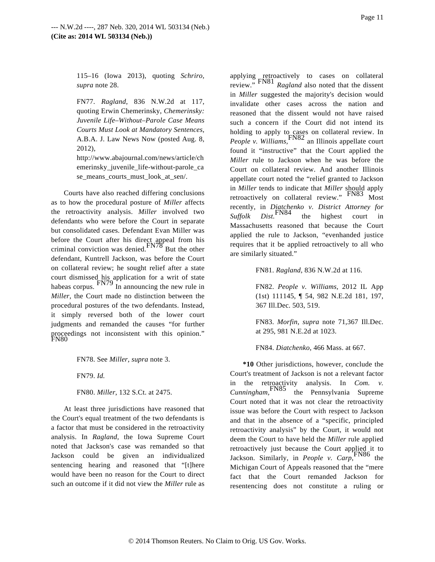115–16 (Iowa 2013), quoting *Schriro, supra* note 28.

FN77. *Ragland*, 836 N.W.2d at 117, quoting Erwin Chemerinsky, *Chemerinsky: Juvenile Life–Without–Parole Case Means Courts Must Look at Mandatory Sentences*, A.B.A. J. Law News Now (posted Aug. 8, 2012),

http://www.abajournal.com/news/article/ch emerinsky\_juvenile\_life-without-parole\_ca se means courts must look at sen/.

Courts have also reached differing conclusions as to how the procedural posture of *Miller* affects the retroactivity analysis. *Miller* involved two defendants who were before the Court in separate but consolidated cases. Defendant Evan Miller was before the Court after his direct appeal from his criminal conviction was denied. FN78 But the other defendant, Kuntrell Jackson, was before the Court on collateral review; he sought relief after a state court dismissed his application for a writ of state habeas corpus. FN79 In announcing the new rule in *Miller,* the Court made no distinction between the procedural postures of the two defendants. Instead, it simply reversed both of the lower court judgments and remanded the causes "for further proceedings not inconsistent with this opinion." FN80

FN78. See *Miller, supra* note 3.

FN79. *Id.*

FN80. *Miller*, 132 S.Ct. at 2475.

At least three jurisdictions have reasoned that the Court's equal treatment of the two defendants is a factor that must be considered in the retroactivity analysis. In *Ragland,* the Iowa Supreme Court noted that Jackson's case was remanded so that Jackson could be given an individualized sentencing hearing and reasoned that "[t]here would have been no reason for the Court to direct such an outcome if it did not view the *Miller* rule as

applying retroactively to cases on collateral review." FN81 *Ragland* also noted that the dissent in *Miller* suggested the majority's decision would invalidate other cases across the nation and reasoned that the dissent would not have raised such a concern if the Court did not intend its holding to apply to cases on collateral review. In *People v. Williams*,  $\frac{FN82}{}$  an Illinois appellate court found it "instructive" that the Court applied the *Miller* rule to Jackson when he was before the Court on collateral review. And another Illinois appellate court noted the "relief granted to Jackson in *Miller* tends to indicate that *Miller* should apply retroactively on collateral review." FN83 Most recently, in *Diatchenko v. District Attorney for Suffolk Dist.*FN84 the highest court in Massachusetts reasoned that because the Court applied the rule to Jackson, "evenhanded justice requires that it be applied retroactively to all who are similarly situated."

FN81. *Ragland*, 836 N.W.2d at 116.

FN82. *People v. Williams,* 2012 IL App (1st) 111145, ¶ 54, 982 N.E.2d 181, 197, 367 Ill.Dec. 503, 519.

FN83. *Morfin, supra* note 71,367 Ill.Dec. at 295, 981 N.E.2d at 1023.

FN84. *Diatchenko*, 466 Mass. at 667.

**\*10** Other jurisdictions, however, conclude the Court's treatment of Jackson is not a relevant factor in the retroactivity analysis. In *Com. v. Cunningham,*FN85 the Pennsylvania Supreme Court noted that it was not clear the retroactivity issue was before the Court with respect to Jackson and that in the absence of a "specific, principled retroactivity analysis" by the Court, it would not deem the Court to have held the *Miller* rule applied retroactively just because the Court applied it to Jackson. Similarly, in *People v. Carp*, FN86 the Michigan Court of Appeals reasoned that the "mere fact that the Court remanded Jackson for resentencing does not constitute a ruling or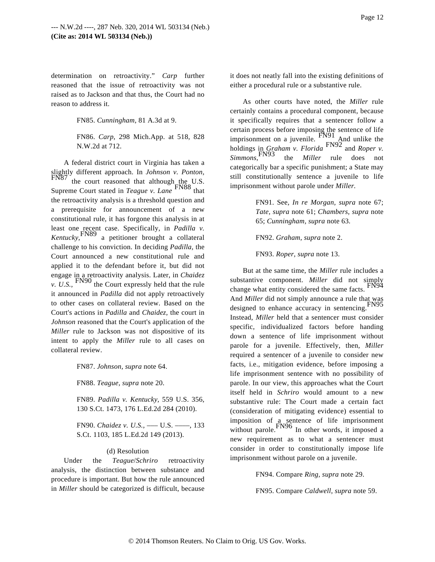determination on retroactivity." *Carp* further reasoned that the issue of retroactivity was not raised as to Jackson and that thus, the Court had no reason to address it.

FN85. *Cunningham*, 81 A.3d at 9.

FN86. *Carp*, 298 Mich.App. at 518, 828 N.W.2d at 712.

A federal district court in Virginia has taken a slightly different approach. In *Johnson v. Ponton,* the court reasoned that although the U.S. Supreme Court stated in *Teague v. Lane* FN88 that the retroactivity analysis is a threshold question and a prerequisite for announcement of a new constitutional rule, it has forgone this analysis in at least one recent case. Specifically, in *Padilla v. Kentucky,*FN89 a petitioner brought a collateral challenge to his conviction. In deciding *Padilla,* the Court announced a new constitutional rule and applied it to the defendant before it, but did not engage in a retroactivity analysis. Later, in *Chaidez v. U.S.*, FN90 the Court expressly held that the rule it announced in *Padilla* did not apply retroactively to other cases on collateral review. Based on the Court's actions in *Padilla* and *Chaidez,* the court in *Johnson* reasoned that the Court's application of the *Miller* rule to Jackson was not dispositive of its intent to apply the *Miller* rule to all cases on collateral review.

FN87. *Johnson, supra* note 64.

FN88. *Teague, supra* note 20.

FN89. *Padilla v. Kentucky,* 559 U.S. 356, 130 S.Ct. 1473, 176 L.Ed.2d 284 (2010).

FN90. *Chaidez v. U.S.,* ––– U.S. ––––, 133 S.Ct. 1103, 185 L.Ed.2d 149 (2013).

#### (d) Resolution

Under the *Teague*/*Schriro* retroactivity analysis, the distinction between substance and procedure is important. But how the rule announced in *Miller* should be categorized is difficult, because it does not neatly fall into the existing definitions of either a procedural rule or a substantive rule.

As other courts have noted, the *Miller* rule certainly contains a procedural component, because it specifically requires that a sentencer follow a certain process before imposing the sentence of life imprisonment on a juvenile. FN91 And unlike the holdings in *Graham v. Florida* FN92 and *Roper v. Simmons,*FN93 the *Miller* rule does not categorically bar a specific punishment; a State may still constitutionally sentence a juvenile to life imprisonment without parole under *Miller.*

> FN91. See, *In re Morgan, supra* note 67; *Tate, supra* note 61; *Chambers, supra* note 65; *Cunningham, supra* note 63.

FN92. *Graham, supra* note 2.

FN93. *Roper, supra* note 13.

But at the same time, the *Miller* rule includes a substantive component. *Miller* did not simply<br>change what entity considered the same facts. And *Miller* did not simply announce a rule that was designed to enhance accuracy in sentencing.FN95 Instead, *Miller* held that a sentencer must consider specific, individualized factors before handing down a sentence of life imprisonment without parole for a juvenile. Effectively, then, *Miller* required a sentencer of a juvenile to consider new facts, i.e., mitigation evidence, before imposing a life imprisonment sentence with no possibility of parole. In our view, this approaches what the Court itself held in *Schriro* would amount to a new substantive rule: The Court made a certain fact (consideration of mitigating evidence) essential to imposition of a sentence of life imprisonment without parole.  $F_N96$  In other words, it imposed a new requirement as to what a sentencer must consider in order to constitutionally impose life imprisonment without parole on a juvenile.

FN94. Compare *Ring, supra* note 29.

FN95. Compare *Caldwell, supra* note 59.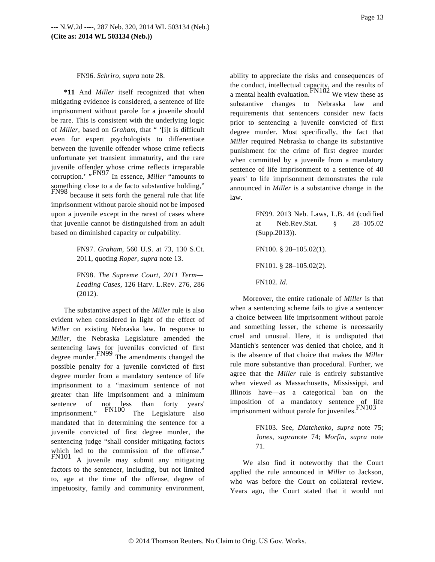FN96. *Schriro, supra* note 28.

**\*11** And *Miller* itself recognized that when mitigating evidence is considered, a sentence of life imprisonment without parole for a juvenile should be rare. This is consistent with the underlying logic of *Miller,* based on *Graham,* that " '[i]t is difficult even for expert psychologists to differentiate between the juvenile offender whose crime reflects unfortunate yet transient immaturity, and the rare juvenile offender whose crime reflects irreparable corruption.' "FN97 In essence, *Miller* "amounts to something close to a de facto substantive holding,"<br>FN98 because it sets forth the general rule that life imprisonment without parole should not be imposed upon a juvenile except in the rarest of cases where that juvenile cannot be distinguished from an adult based on diminished capacity or culpability.

> FN97. *Graham*, 560 U.S. at 73, 130 S.Ct. 2011, quoting *Roper, supra* note 13.

> FN98. *The Supreme Court, 2011 Term— Leading Cases,* 126 Harv. L.Rev. 276, 286 (2012).

The substantive aspect of the *Miller* rule is also evident when considered in light of the effect of *Miller* on existing Nebraska law. In response to *Miller,* the Nebraska Legislature amended the sentencing laws for juveniles convicted of first<br>degree murder. FN99 The amendments changed the possible penalty for a juvenile convicted of first degree murder from a mandatory sentence of life imprisonment to a "maximum sentence of not greater than life imprisonment and a minimum sentence of not less than forty years' imprisonment." FN100 The Legislature also mandated that in determining the sentence for a juvenile convicted of first degree murder, the sentencing judge "shall consider mitigating factors which led to the commission of the offense." FN101 A juvenile may submit any mitigating factors to the sentencer, including, but not limited to, age at the time of the offense, degree of impetuosity, family and community environment,

ability to appreciate the risks and consequences of the conduct, intellectual capacity, and the results of a mental health evaluation. FN102 We view these as substantive changes to Nebraska law and requirements that sentencers consider new facts prior to sentencing a juvenile convicted of first degree murder. Most specifically, the fact that *Miller* required Nebraska to change its substantive punishment for the crime of first degree murder when committed by a juvenile from a mandatory sentence of life imprisonment to a sentence of 40 years' to life imprisonment demonstrates the rule announced in *Miller* is a substantive change in the law.

> FN99. 2013 Neb. Laws, L.B. 44 (codified at Neb.Rev.Stat. § 28–105.02 (Supp.2013)). FN100. § 28–105.02(1). FN101. § 28–105.02(2). FN102. *Id.*

Moreover, the entire rationale of *Miller* is that when a sentencing scheme fails to give a sentencer a choice between life imprisonment without parole and something lesser, the scheme is necessarily cruel and unusual. Here, it is undisputed that Mantich's sentencer was denied that choice, and it is the absence of that choice that makes the *Miller* rule more substantive than procedural. Further, we agree that the *Miller* rule is entirely substantive when viewed as Massachusetts, Mississippi, and Illinois have—as a categorical ban on the imposition of a mandatory sentence of life imprisonment without parole for juveniles.FN103

> FN103. See, *Diatchenko, supra* note 75; *Jones, supra*note 74; *Morfin, supra* note 71.

We also find it noteworthy that the Court applied the rule announced in *Miller* to Jackson, who was before the Court on collateral review. Years ago, the Court stated that it would not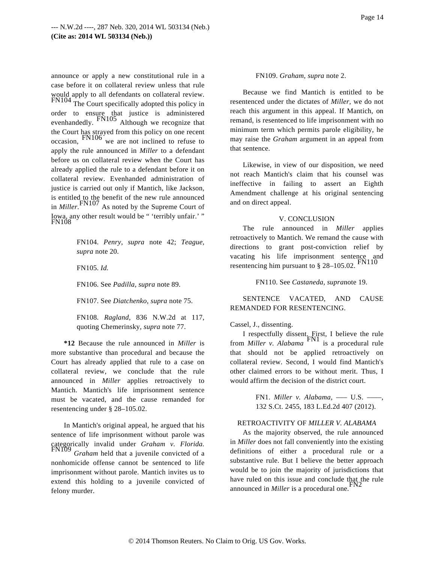announce or apply a new constitutional rule in a case before it on collateral review unless that rule would apply to all defendants on collateral review.<br>FN104 m

The Court specifically adopted this policy in order to ensure that justice is administered evenhandedly. FN105 Although we recognize that the Court has strayed from this policy on one recent occasion,  $\frac{FN106}{NE}$  we are not inclined to refuse to apply the rule announced in *Miller* to a defendant before us on collateral review when the Court has already applied the rule to a defendant before it on collateral review. Evenhanded administration of justice is carried out only if Mantich, like Jackson, is entitled to the benefit of the new rule announced in *Miller.*FN107 As noted by the Supreme Court of Iowa, any other result would be " 'terribly unfair.' " FN108

> FN104. *Penry, supra* note 42; *Teague, supra* note 20.

FN105. *Id.*

FN106. See *Padilla, supra* note 89.

FN107. See *Diatchenko, supra* note 75.

FN108. *Ragland*, 836 N.W.2d at 117, quoting Chemerinsky, *supra* note 77.

**\*12** Because the rule announced in *Miller* is more substantive than procedural and because the Court has already applied that rule to a case on collateral review, we conclude that the rule announced in *Miller* applies retroactively to Mantich. Mantich's life imprisonment sentence must be vacated, and the cause remanded for resentencing under § 28–105.02.

In Mantich's original appeal, he argued that his sentence of life imprisonment without parole was categorically invalid under *Graham v. Florida.* FN109 *Graham* held that a juvenile convicted of a nonhomicide offense cannot be sentenced to life imprisonment without parole. Mantich invites us to extend this holding to a juvenile convicted of felony murder.

#### FN109. *Graham, supra* note 2.

Because we find Mantich is entitled to be resentenced under the dictates of *Miller,* we do not reach this argument in this appeal. If Mantich, on remand, is resentenced to life imprisonment with no minimum term which permits parole eligibility, he may raise the *Graham* argument in an appeal from that sentence.

Likewise, in view of our disposition, we need not reach Mantich's claim that his counsel was ineffective in failing to assert an Eighth Amendment challenge at his original sentencing and on direct appeal.

#### V. CONCLUSION

The rule announced in *Miller* applies retroactively to Mantich. We remand the cause with directions to grant post-conviction relief by vacating his life imprisonment sentence and resentencing him pursuant to § 28–105.02. FN110

FN110. See *Castaneda, supra*note 19.

SENTENCE VACATED, AND CAUSE REMANDED FOR RESENTENCING.

#### Cassel, J., dissenting.

I respectfully dissent. First, I believe the rule from *Miller v. Alabama* FN1 is a procedural rule that should not be applied retroactively on collateral review. Second, I would find Mantich's other claimed errors to be without merit. Thus, I would affirm the decision of the district court.

> FN1. *Miller v. Alabama*, - U.S. -132 S.Ct. 2455, 183 L.Ed.2d 407 (2012).

#### RETROACTIVITY OF *MILLER V. ALABAMA*

As the majority observed, the rule announced in *Miller* does not fall conveniently into the existing definitions of either a procedural rule or a substantive rule. But I believe the better approach would be to join the majority of jurisdictions that have ruled on this issue and conclude that the rule announced in *Miller* is a procedural one.<sup>FN2</sup>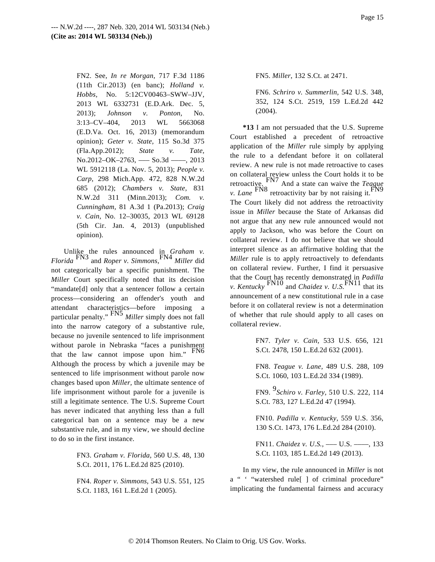FN2. See, *In re Morgan,* 717 F.3d 1186 (11th Cir.2013) (en banc); *Holland v. Hobbs,* No. 5:12CV00463–SWW–JJV, 2013 WL 6332731 (E.D.Ark. Dec. 5, 2013); *Johnson v. Ponton,* No. 3:13–CV–404, 2013 WL 5663068 (E.D.Va. Oct. 16, 2013) (memorandum opinion); *Geter v. State,* 115 So.3d 375 (Fla.App.2012); *State v. Tate,* No.2012–OK–2763, — So.3d — , 2013 WL 5912118 (La. Nov. 5, 2013); *People v. Carp,* 298 Mich.App. 472, 828 N.W.2d 685 (2012); *Chambers v. State,* 831 N.W.2d 311 (Minn.2013); *Com. v. Cunningham,* 81 A.3d 1 (Pa.2013); *Craig v. Cain,* No. 12–30035, 2013 WL 69128 (5th Cir. Jan. 4, 2013) (unpublished opinion).

Unlike the rules announced in *Graham v.*<br> *Florida* FN3 and *Roper v. Simmons*, *FN4 Miller* did not categorically bar a specific punishment. The *Miller* Court specifically noted that its decision "mandate[d] only that a sentencer follow a certain process—considering an offender's youth and attendant characteristics—before imposing a particular penalty." FN5 *Miller* simply does not fall into the narrow category of a substantive rule, because no juvenile sentenced to life imprisonment without parole in Nebraska "faces a punishment that the law cannot impose upon him." FN6 Although the process by which a juvenile may be sentenced to life imprisonment without parole now changes based upon *Miller,* the ultimate sentence of life imprisonment without parole for a juvenile is still a legitimate sentence. The U.S. Supreme Court has never indicated that anything less than a full categorical ban on a sentence may be a new substantive rule, and in my view, we should decline to do so in the first instance.

> FN3. *Graham v. Florida,* 560 U.S. 48, 130 S.Ct. 2011, 176 L.Ed.2d 825 (2010).

> FN4. *Roper v. Simmons,* 543 U.S. 551, 125 S.Ct. 1183, 161 L.Ed.2d 1 (2005).

FN5. *Miller*, 132 S.Ct. at 2471.

FN6. *Schriro v. Summerlin,* 542 U.S. 348, 352, 124 S.Ct. 2519, 159 L.Ed.2d 442 (2004).

**\*13** I am not persuaded that the U.S. Supreme Court established a precedent of retroactive application of the *Miller* rule simply by applying the rule to a defendant before it on collateral review. A new rule is not made retroactive to cases on collateral review unless the Court holds it to be retroactive. *v. Lane* FN8 retroactivity bar by not raising it.FN9 The Court likely did not address the retroactivity issue in *Miller* because the State of Arkansas did not argue that any new rule announced would not apply to Jackson, who was before the Court on collateral review. I do not believe that we should interpret silence as an affirmative holding that the *Miller* rule is to apply retroactively to defendants on collateral review. Further, I find it persuasive that the Court has recently demonstrated in *Padilla*<br>*v. Kentucky*  $\frac{FN10}{2}$  and *Chaidez v. U.S.*<sup>FN11</sup> that its announcement of a new constitutional rule in a case before it on collateral review is not a determination of whether that rule should apply to all cases on collateral review.

> FN7. *Tyler v. Cain,* 533 U.S. 656, 121 S.Ct. 2478, 150 L.Ed.2d 632 (2001).

> FN8. *Teague v. Lane,* 489 U.S. 288, 109 S.Ct. 1060, 103 L.Ed.2d 334 (1989).

> FN9. <sup>9</sup> *Schiro v. Farley,* 510 U.S. 222, 114 S.Ct. 783, 127 L.Ed.2d 47 (1994).

> FN10. *Padilla v. Kentucky,* 559 U.S. 356, 130 S.Ct. 1473, 176 L.Ed.2d 284 (2010).

> FN11. *Chaidez v. U.S.,* ––– U.S. ––––, 133 S.Ct. 1103, 185 L.Ed.2d 149 (2013).

In my view, the rule announced in *Miller* is not a " ' "watershed rule[ ] of criminal procedure" implicating the fundamental fairness and accuracy

Page 15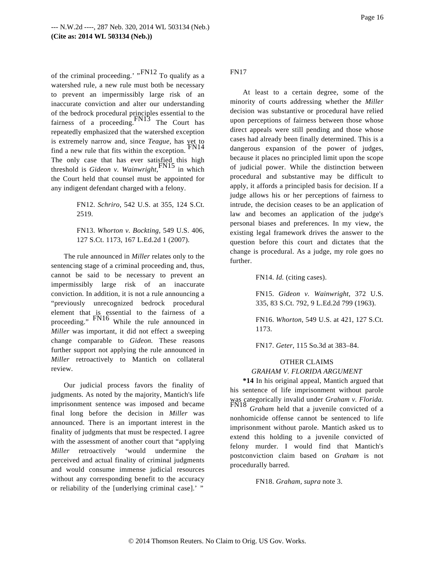of the criminal proceeding.'  $HNI2$  To qualify as a watershed rule, a new rule must both be necessary to prevent an impermissibly large risk of an inaccurate conviction and alter our understanding of the bedrock procedural principles essential to the fairness of a proceeding. FN13 The Court has repeatedly emphasized that the watershed exception is extremely narrow and, since *Teague,* has yet to find a new rule that fits within the exception. The only case that has ever satisfied this high threshold is *Gideon v. Wainwright,*FN15 in which the Court held that counsel must be appointed for any indigent defendant charged with a felony.

> FN12. *Schriro*, 542 U.S. at 355, 124 S.Ct. 2519.

> FN13. *Whorton v. Bockting,* 549 U.S. 406, 127 S.Ct. 1173, 167 L.Ed.2d 1 (2007).

The rule announced in *Miller* relates only to the sentencing stage of a criminal proceeding and, thus, cannot be said to be necessary to prevent an impermissibly large risk of an inaccurate conviction. In addition, it is not a rule announcing a "previously unrecognized bedrock procedural element that is essential to the fairness of a<br>proceeding." FN16 While the rule announced in *Miller* was important, it did not effect a sweeping change comparable to *Gideon.* These reasons further support not applying the rule announced in *Miller* retroactively to Mantich on collateral review.

Our judicial process favors the finality of judgments. As noted by the majority, Mantich's life imprisonment sentence was imposed and became final long before the decision in *Miller* was announced. There is an important interest in the finality of judgments that must be respected. I agree with the assessment of another court that "applying *Miller* retroactively 'would undermine the perceived and actual finality of criminal judgments and would consume immense judicial resources without any corresponding benefit to the accuracy or reliability of the [underlying criminal case].' "

## FN17

At least to a certain degree, some of the minority of courts addressing whether the *Miller* decision was substantive or procedural have relied upon perceptions of fairness between those whose direct appeals were still pending and those whose cases had already been finally determined. This is a dangerous expansion of the power of judges, because it places no principled limit upon the scope of judicial power. While the distinction between procedural and substantive may be difficult to apply, it affords a principled basis for decision. If a judge allows his or her perceptions of fairness to intrude, the decision ceases to be an application of law and becomes an application of the judge's personal biases and preferences. In my view, the existing legal framework drives the answer to the question before this court and dictates that the change is procedural. As a judge, my role goes no further.

FN14. *Id.* (citing cases).

FN15. *Gideon v. Wainwright,* 372 U.S. 335, 83 S.Ct. 792, 9 L.Ed.2d 799 (1963).

FN16. *Whorton*, 549 U.S. at 421, 127 S.Ct. 1173.

FN17. *Geter*, 115 So.3d at 383–84.

## OTHER CLAIMS *GRAHAM V. FLORIDA ARGUMENT*

**\*14** In his original appeal, Mantich argued that his sentence of life imprisonment without parole was categorically invalid under *Graham v. Florida.* FN18 *Graham* held that a juvenile convicted of a nonhomicide offense cannot be sentenced to life imprisonment without parole. Mantich asked us to extend this holding to a juvenile convicted of felony murder. I would find that Mantich's postconviction claim based on *Graham* is not procedurally barred.

FN18. *Graham, supra* note 3.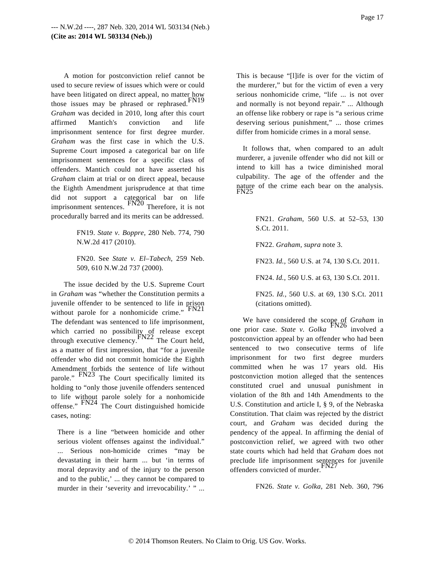A motion for postconviction relief cannot be used to secure review of issues which were or could have been litigated on direct appeal, no matter how those issues may be phrased or rephrased. FN19 *Graham* was decided in 2010, long after this court affirmed Mantich's conviction and life imprisonment sentence for first degree murder. *Graham* was the first case in which the U.S. Supreme Court imposed a categorical bar on life imprisonment sentences for a specific class of offenders. Mantich could not have asserted his *Graham* claim at trial or on direct appeal, because the Eighth Amendment jurisprudence at that time did not support a categorical bar on life imprisonment sentences. FN20 Therefore, it is not procedurally barred and its merits can be addressed.

> FN19. *State v. Boppre,* 280 Neb. 774, 790 N.W.2d 417 (2010).

> FN20. See *State v. El–Tabech,* 259 Neb. 509, 610 N.W.2d 737 (2000).

The issue decided by the U.S. Supreme Court in *Graham* was "whether the Constitution permits a juvenile offender to be sentenced to life in prison without parole for a nonhomicide crime." FN21 The defendant was sentenced to life imprisonment, which carried no possibility of release except<br>through executive clemency. The Court held, as a matter of first impression, that "for a juvenile offender who did not commit homicide the Eighth Amendment forbids the sentence of life without parole." FN23 The Court specifically limited its holding to "only those juvenile offenders sentenced to life without parole solely for a nonhomicide offense." FN24 The Court distinguished homicide cases, noting:

There is a line "between homicide and other serious violent offenses against the individual." ... Serious non-homicide crimes "may be devastating in their harm ... but 'in terms of moral depravity and of the injury to the person and to the public,' ... they cannot be compared to murder in their 'severity and irrevocability.' " ... This is because "[l]ife is over for the victim of the murderer," but for the victim of even a very serious nonhomicide crime, "life ... is not over and normally is not beyond repair." ... Although an offense like robbery or rape is "a serious crime deserving serious punishment," ... those crimes differ from homicide crimes in a moral sense.

It follows that, when compared to an adult murderer, a juvenile offender who did not kill or intend to kill has a twice diminished moral culpability. The age of the offender and the nature of the crime each bear on the analysis. FN25

> FN21. *Graham*, 560 U.S. at 52–53, 130 S.Ct. 2011.

FN22. *Graham, supra* note 3.

FN23. *Id.,* 560 U.S. at 74, 130 S.Ct. 2011.

FN24. *Id.,* 560 U.S. at 63, 130 S.Ct. 2011.

FN25. *Id.,* 560 U.S. at 69, 130 S.Ct. 2011 (citations omitted).

We have considered the scope of *Graham* in one prior case. *State v. Golka* FN26 involved a postconviction appeal by an offender who had been sentenced to two consecutive terms of life imprisonment for two first degree murders committed when he was 17 years old. His postconviction motion alleged that the sentences constituted cruel and unusual punishment in violation of the 8th and 14th Amendments to the U.S. Constitution and article I, § 9, of the Nebraska Constitution. That claim was rejected by the district court, and *Graham* was decided during the pendency of the appeal. In affirming the denial of postconviction relief, we agreed with two other state courts which had held that *Graham* does not preclude life imprisonment sentences for juvenile<br>offenders convicted of murder. FN27

FN26. *State v. Golka,* 281 Neb. 360, 796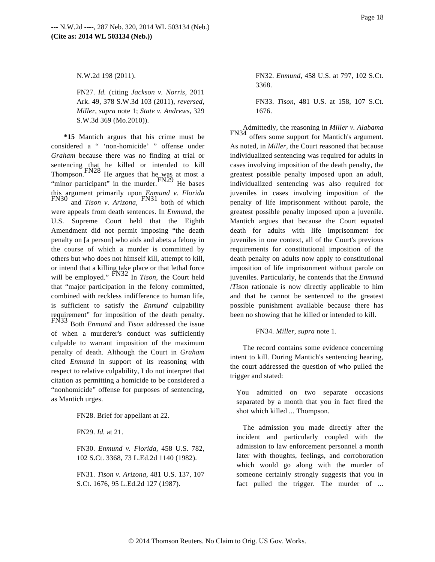N.W.2d 198 (2011).

FN27. *Id.* (citing *Jackson v. Norris,* 2011 Ark. 49, 378 S.W.3d 103 (2011), *reversed, Miller, supra* note 1; *State v. Andrews,* 329 S.W.3d 369 (Mo.2010)).

**\*15** Mantich argues that his crime must be considered a " 'non-homicide' " offense under *Graham* because there was no finding at trial or sentencing that he killed or intended to kill  $T_{\text{hompson}}^{\text{FW28}}$  He argues that he was at most a "minor participant" in the murder.<sup>FN29</sup> He bases this argument primarily upon *Enmund v. Florida* FN30 and *Tison v. Arizona,* FN31 both of which were appeals from death sentences. In *Enmund,* the U.S. Supreme Court held that the Eighth Amendment did not permit imposing "the death penalty on [a person] who aids and abets a felony in the course of which a murder is committed by others but who does not himself kill, attempt to kill, or intend that a killing take place or that lethal force will be employed." FN32 In *Tison,* the Court held that "major participation in the felony committed, combined with reckless indifference to human life, is sufficient to satisfy the *Enmund* culpability requirement" for imposition of the death penalty.<br> $FN33 \rightarrow -$ Both *Enmund* and *Tison* addressed the issue of when a murderer's conduct was sufficiently culpable to warrant imposition of the maximum penalty of death. Although the Court in *Graham* cited *Enmund* in support of its reasoning with respect to relative culpability, I do not interpret that citation as permitting a homicide to be considered a "nonhomicide" offense for purposes of sentencing, as Mantich urges.

FN28. Brief for appellant at 22.

FN29. *Id.* at 21.

FN30. *Enmund v. Florida,* 458 U.S. 782, 102 S.Ct. 3368, 73 L.Ed.2d 1140 (1982).

FN31. *Tison v. Arizona,* 481 U.S. 137, 107 S.Ct. 1676, 95 L.Ed.2d 127 (1987).

Page 18

FN32. *Enmund*, 458 U.S. at 797, 102 S.Ct. 3368.

FN33. *Tison*, 481 U.S. at 158, 107 S.Ct. 1676.

Admittedly, the reasoning in *Miller v. Alabama* offers some support for Mantich's argument. As noted, in *Miller,* the Court reasoned that because individualized sentencing was required for adults in cases involving imposition of the death penalty, the greatest possible penalty imposed upon an adult, individualized sentencing was also required for juveniles in cases involving imposition of the penalty of life imprisonment without parole, the greatest possible penalty imposed upon a juvenile. Mantich argues that because the Court equated death for adults with life imprisonment for juveniles in one context, all of the Court's previous requirements for constitutional imposition of the death penalty on adults now apply to constitutional imposition of life imprisonment without parole on juveniles. Particularly, he contends that the *Enmund* /*Tison* rationale is now directly applicable to him and that he cannot be sentenced to the greatest possible punishment available because there has been no showing that he killed or intended to kill.

#### FN34. *Miller, supra* note 1.

The record contains some evidence concerning intent to kill. During Mantich's sentencing hearing, the court addressed the question of who pulled the trigger and stated:

You admitted on two separate occasions separated by a month that you in fact fired the shot which killed ... Thompson.

The admission you made directly after the incident and particularly coupled with the admission to law enforcement personnel a month later with thoughts, feelings, and corroboration which would go along with the murder of someone certainly strongly suggests that you in fact pulled the trigger. The murder of ...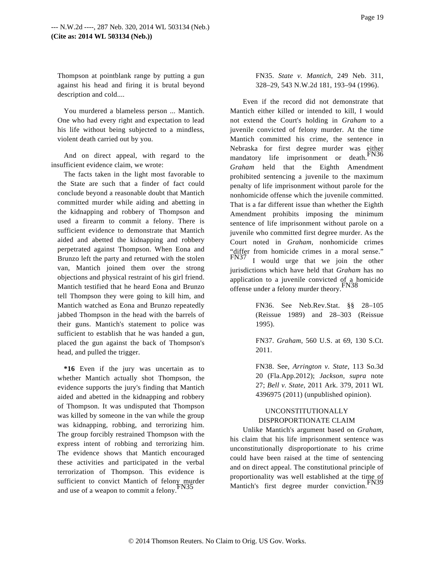Thompson at pointblank range by putting a gun against his head and firing it is brutal beyond description and cold....

You murdered a blameless person ... Mantich. One who had every right and expectation to lead his life without being subjected to a mindless, violent death carried out by you.

And on direct appeal, with regard to the insufficient evidence claim, we wrote:

The facts taken in the light most favorable to the State are such that a finder of fact could conclude beyond a reasonable doubt that Mantich committed murder while aiding and abetting in the kidnapping and robbery of Thompson and used a firearm to commit a felony. There is sufficient evidence to demonstrate that Mantich aided and abetted the kidnapping and robbery perpetrated against Thompson. When Eona and Brunzo left the party and returned with the stolen van, Mantich joined them over the strong objections and physical restraint of his girl friend. Mantich testified that he heard Eona and Brunzo tell Thompson they were going to kill him, and Mantich watched as Eona and Brunzo repeatedly jabbed Thompson in the head with the barrels of their guns. Mantich's statement to police was sufficient to establish that he was handed a gun, placed the gun against the back of Thompson's head, and pulled the trigger.

**\*16** Even if the jury was uncertain as to whether Mantich actually shot Thompson, the evidence supports the jury's finding that Mantich aided and abetted in the kidnapping and robbery of Thompson. It was undisputed that Thompson was killed by someone in the van while the group was kidnapping, robbing, and terrorizing him. The group forcibly restrained Thompson with the express intent of robbing and terrorizing him. The evidence shows that Mantich encouraged these activities and participated in the verbal terrorization of Thompson. This evidence is sufficient to convict Mantich of felony murder and use of a weapon to commit a felony.<sup>FN35</sup>

## FN35. *State v. Mantich,* 249 Neb. 311, 328–29, 543 N.W.2d 181, 193–94 (1996).

Even if the record did not demonstrate that Mantich either killed or intended to kill, I would not extend the Court's holding in *Graham* to a juvenile convicted of felony murder. At the time Mantich committed his crime, the sentence in Nebraska for first degree murder was either<br>mandatory life imprisonment or death FN36 mandatory life imprisonment or *Graham* held that the Eighth Amendment prohibited sentencing a juvenile to the maximum penalty of life imprisonment without parole for the nonhomicide offense which the juvenile committed. That is a far different issue than whether the Eighth Amendment prohibits imposing the minimum sentence of life imprisonment without parole on a juvenile who committed first degree murder. As the Court noted in *Graham,* nonhomicide crimes "differ from homicide crimes in a moral sense." I would urge that we join the other jurisdictions which have held that *Graham* has no application to a juvenile convicted of a homicide offense under a felony murder theory.<sup>FN38</sup>

> FN36. See Neb.Rev.Stat. §§ 28–105 (Reissue 1989) and 28–303 (Reissue 1995).

> FN37. *Graham*, 560 U.S. at 69, 130 S.Ct. 2011.

> FN38. See, *Arrington v. State,* 113 So.3d 20 (Fla.App.2012); *Jackson, supra* note 27; *Bell v. State,* 2011 Ark. 379, 2011 WL 4396975 (2011) (unpublished opinion).

### UNCONSTITUTIONALLY DISPROPORTIONATE CLAIM

Unlike Mantich's argument based on *Graham,* his claim that his life imprisonment sentence was unconstitutionally disproportionate to his crime could have been raised at the time of sentencing and on direct appeal. The constitutional principle of proportionality was well established at the time of Mantich's first degree murder conviction.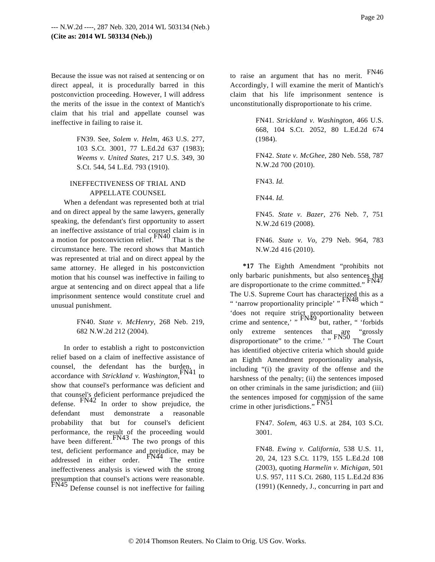Because the issue was not raised at sentencing or on direct appeal, it is procedurally barred in this postconviction proceeding. However, I will address the merits of the issue in the context of Mantich's claim that his trial and appellate counsel was ineffective in failing to raise it.

> FN39. See, *Solem v. Helm,* 463 U.S. 277, 103 S.Ct. 3001, 77 L.Ed.2d 637 (1983); *Weems v. United States,* 217 U.S. 349, 30 S.Ct. 544, 54 L.Ed. 793 (1910).

#### INEFFECTIVENESS OF TRIAL AND APPELLATE COUNSEL

When a defendant was represented both at trial and on direct appeal by the same lawyers, generally speaking, the defendant's first opportunity to assert an ineffective assistance of trial counsel claim is in a motion for postconviction relief.  $FNA0$  That is the circumstance here. The record shows that Mantich was represented at trial and on direct appeal by the same attorney. He alleged in his postconviction motion that his counsel was ineffective in failing to argue at sentencing and on direct appeal that a life imprisonment sentence would constitute cruel and unusual punishment.

> FN40. *State v. McHenry,* 268 Neb. 219, 682 N.W.2d 212 (2004).

In order to establish a right to postconviction relief based on a claim of ineffective assistance of counsel, the defendant has the burden,<br>FN41 accordance with *Strickland v. Washington*,<sup> $\Gamma$ N41</sup> to show that counsel's performance was deficient and that counsel's deficient performance prejudiced the defense. FN42 In order to show prejudice, the defendant must demonstrate a reasonable probability that but for counsel's deficient performance, the result of the proceeding would<br>have been different. The two prongs of this test, deficient performance and prejudice, may be addressed in either order. FN44 The entire ineffectiveness analysis is viewed with the strong presumption that counsel's actions were reasonable.<br>FN45 Defense counsel is not ineffective for failing

to raise an argument that has no merit. FN46 Accordingly, I will examine the merit of Mantich's claim that his life imprisonment sentence is unconstitutionally disproportionate to his crime.

> FN41. *Strickland v. Washington,* 466 U.S. 668, 104 S.Ct. 2052, 80 L.Ed.2d 674 (1984).

> FN42. *State v. McGhee,* 280 Neb. 558, 787 N.W.2d 700 (2010).

FN43. *Id.*

FN44. *Id.*

FN45. *State v. Bazer,* 276 Neb. 7, 751 N.W.2d 619 (2008).

FN46. *State v. Vo,* 279 Neb. 964, 783 N.W.2d 416 (2010).

**\*17** The Eighth Amendment "prohibits not only barbaric punishments, but also sentences that are disproportionate to the crime committed."  $FNA/$ The U.S. Supreme Court has characterized this as a<br>"'narrow proportionality principle' " FN48 which" 'does not require strict proportionality between<br>crime and sentence,' " FN49 but, rather, " 'forbids only extreme sentences that are "grossly disproportionate" to the crime.' " FN50 The Court has identified objective criteria which should guide an Eighth Amendment proportionality analysis, including "(i) the gravity of the offense and the harshness of the penalty; (ii) the sentences imposed on other criminals in the same jurisdiction; and (iii) the sentences imposed for commission of the same crime in other jurisdictions."  $FN51$ 

> FN47. *Solem*, 463 U.S. at 284, 103 S.Ct. 3001.

> FN48. *Ewing v. California,* 538 U.S. 11, 20, 24, 123 S.Ct. 1179, 155 L.Ed.2d 108 (2003), quoting *Harmelin v. Michigan,* 501 U.S. 957, 111 S.Ct. 2680, 115 L.Ed.2d 836 (1991) (Kennedy, J., concurring in part and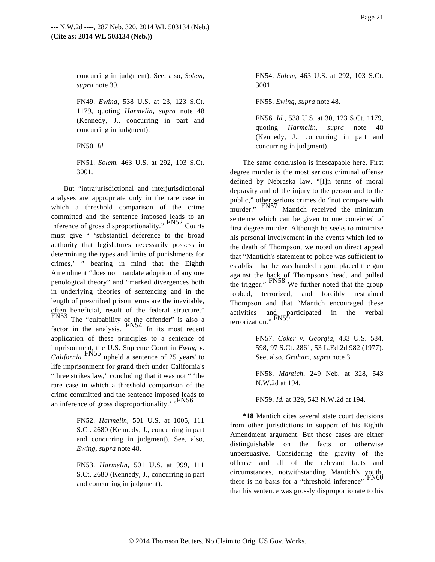concurring in judgment). See, also, *Solem, supra* note 39.

FN49. *Ewing*, 538 U.S. at 23, 123 S.Ct. 1179, quoting *Harmelin, supra* note 48 (Kennedy, J., concurring in part and concurring in judgment).

FN50. *Id.*

FN51. *Solem*, 463 U.S. at 292, 103 S.Ct. 3001.

But "intrajurisdictional and interjurisdictional analyses are appropriate only in the rare case in which a threshold comparison of the crime committed and the sentence imposed leads to an inference of gross disproportionality." FN52 Courts must give " 'substantial deference to the broad authority that legislatures necessarily possess in determining the types and limits of punishments for crimes,' " bearing in mind that the Eighth Amendment "does not mandate adoption of any one penological theory" and "marked divergences both in underlying theories of sentencing and in the length of prescribed prison terms are the inevitable, often beneficial, result of the federal structure."  $\text{FN}$ 53 The "culpability of the offender" is also a factor in the analysis.  $F^{1}N^{34}$  In its most recent application of these principles to a sentence of imprisonment, the U.S. Supreme Court in *Ewing v.*<br>California FN55 upheld a sentence of 25 years' to life imprisonment for grand theft under California's "three strikes law," concluding that it was not " 'the rare case in which a threshold comparison of the crime committed and the sentence imposed leads to an inference of gross disproportionality.' "FN56

> FN52. *Harmelin*, 501 U.S. at 1005, 111 S.Ct. 2680 (Kennedy, J., concurring in part and concurring in judgment). See, also, *Ewing, supra* note 48.

> FN53. *Harmelin*, 501 U.S. at 999, 111 S.Ct. 2680 (Kennedy, J., concurring in part and concurring in judgment).

FN54. *Solem*, 463 U.S. at 292, 103 S.Ct. 3001.

FN55. *Ewing, supra* note 48.

FN56. *Id.,* 538 U.S. at 30, 123 S.Ct. 1179, quoting *Harmelin, supra* note 48 (Kennedy, J., concurring in part and concurring in judgment).

The same conclusion is inescapable here. First degree murder is the most serious criminal offense defined by Nebraska law. "[I]n terms of moral depravity and of the injury to the person and to the public," other serious crimes do "not compare with<br>murder." FN57 Mantich received the minimum sentence which can be given to one convicted of first degree murder. Although he seeks to minimize his personal involvement in the events which led to the death of Thompson, we noted on direct appeal that "Mantich's statement to police was sufficient to establish that he was handed a gun, placed the gun against the back of Thompson's head, and pulled the trigger." FN58 We further noted that the group robbed, terrorized, and forcibly restrained Thompson and that "Mantich encouraged these activities and participated in the verbal terrorization." FN59

> FN57. *Coker v. Georgia,* 433 U.S. 584, 598, 97 S.Ct. 2861, 53 L.Ed.2d 982 (1977). See, also, *Graham, supra* note 3.

> FN58. *Mantich*, 249 Neb. at 328, 543 N.W.2d at 194.

FN59. *Id.* at 329, 543 N.W.2d at 194.

**\*18** Mantich cites several state court decisions from other jurisdictions in support of his Eighth Amendment argument. But those cases are either distinguishable on the facts or otherwise unpersuasive. Considering the gravity of the offense and all of the relevant facts and circumstances, notwithstanding Mantich's youth, there is no basis for a "threshold inference". FN60 that his sentence was grossly disproportionate to his